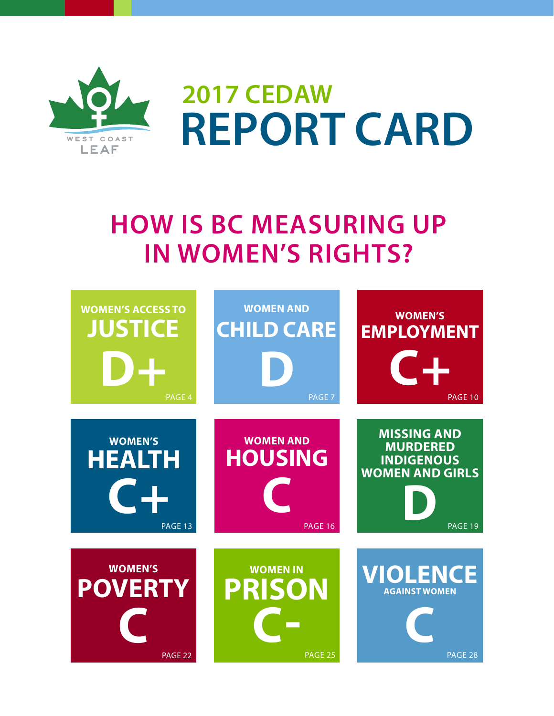

**2017 CEDAW REPORT CARD**

### **HOW IS BC MEASURING UP IN WOMEN'S RIGHTS?**

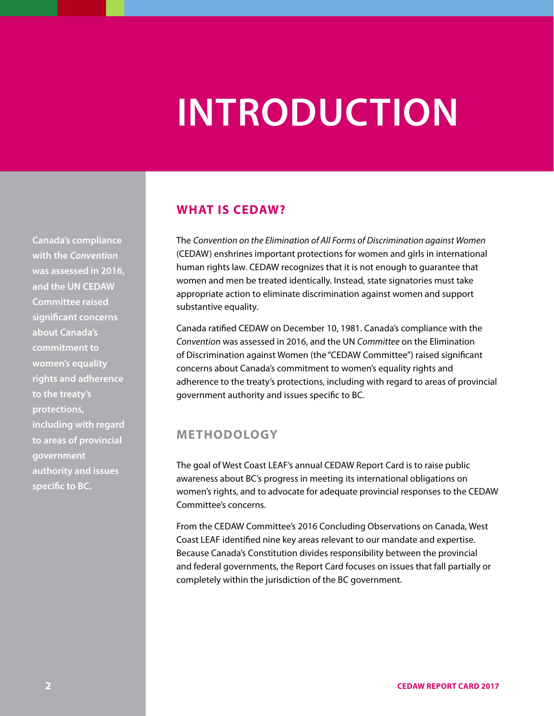# **INTRODUCTION**

**Canada's compliance with the** *Convention* **was assessed in 2016, and the UN CEDAW Committee raised significant concerns about Canada's commitment to women's equality rights and adherence to the treaty's protections, including with regard to areas of provincial government authority and issues specific to BC.**

#### **WHAT IS CEDAW?**

The *Convention on the Elimination of All Forms of Discrimination against Women* (CEDAW) enshrines important protections for women and girls in international human rights law. CEDAW recognizes that it is not enough to guarantee that women and men be treated identically. Instead, state signatories must take appropriate action to eliminate discrimination against women and support substantive equality.

Canada ratified CEDAW on December 10, 1981. Canada's compliance with the *Convention* was assessed in 2016, and the UN *Committee* on the Elimination of Discrimination against Women (the "CEDAW Committee") raised significant concerns about Canada's commitment to women's equality rights and adherence to the treaty's protections, including with regard to areas of provincial government authority and issues specific to BC.

#### **METHODOLOGY**

The goal of West Coast LEAF's annual CEDAW Report Card is to raise public awareness about BC's progress in meeting its international obligations on women's rights, and to advocate for adequate provincial responses to the CEDAW Committee's concerns.

From the CEDAW Committee's 2016 Concluding Observations on Canada, West Coast LEAF identified nine key areas relevant to our mandate and expertise. Because Canada's Constitution divides responsibility between the provincial and federal governments, the Report Card focuses on issues that fall partially or completely within the jurisdiction of the BC government.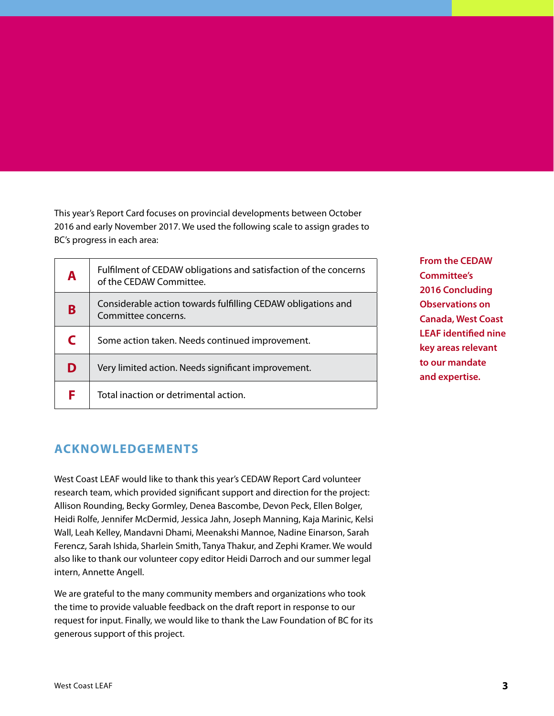This year's Report Card focuses on provincial developments between October 2016 and early November 2017. We used the following scale to assign grades to BC's progress in each area:

| A | Fulfilment of CEDAW obligations and satisfaction of the concerns<br>of the CEDAW Committee. |
|---|---------------------------------------------------------------------------------------------|
| B | Considerable action towards fulfilling CEDAW obligations and<br>Committee concerns.         |
| C | Some action taken. Needs continued improvement.                                             |
| D | Very limited action. Needs significant improvement.                                         |
| F | Total inaction or detrimental action.                                                       |

**From the CEDAW Committee's 2016 Concluding Observations on Canada, West Coast LEAF identified nine key areas relevant to our mandate and expertise.**

#### **ACKNOWLEDGEMENTS**

West Coast LEAF would like to thank this year's CEDAW Report Card volunteer research team, which provided significant support and direction for the project: Allison Rounding, Becky Gormley, Denea Bascombe, Devon Peck, Ellen Bolger, Heidi Rolfe, Jennifer McDermid, Jessica Jahn, Joseph Manning, Kaja Marinic, Kelsi Wall, Leah Kelley, Mandavni Dhami, Meenakshi Mannoe, Nadine Einarson, Sarah Ferencz, Sarah Ishida, Sharlein Smith, Tanya Thakur, and Zephi Kramer. We would also like to thank our volunteer copy editor Heidi Darroch and our summer legal intern, Annette Angell.

We are grateful to the many community members and organizations who took the time to provide valuable feedback on the draft report in response to our request for input. Finally, we would like to thank the Law Foundation of BC for its generous support of this project.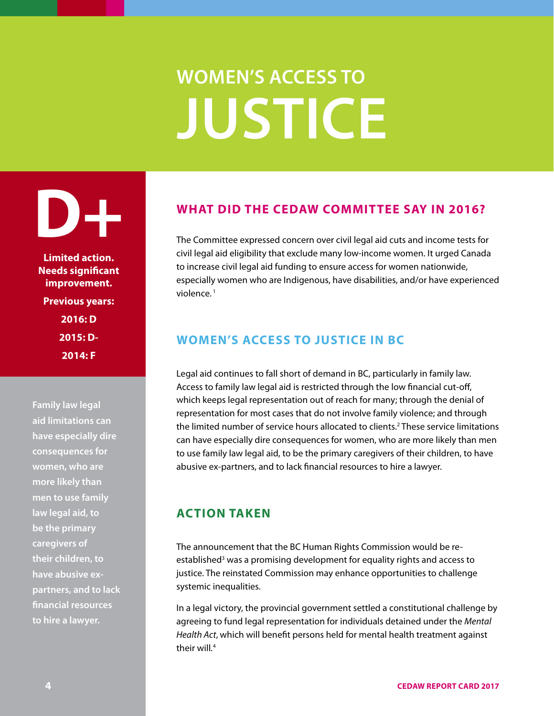# **WOMEN'S ACCESS TO JUSTICE**

<span id="page-3-0"></span>**D+**

**Limited action. Needs significant improvement. Previous years: 2016: D 2015: D-2014: F**

**Family law legal aid limitations can have especially dire consequences for women, who are more likely than men to use family law legal aid, to be the primary caregivers of their children, to have abusive expartners, and to lack financial resources to hire a lawyer.**

#### **WHAT DID THE CEDAW COMMITTEE SAY IN 2016?**

The Committee expressed concern over civil legal aid cuts and income tests for civil legal aid eligibility that exclude many low-income women. It urged Canada to increase civil legal aid funding to ensure access for women nationwide, especially women who are Indigenous, have disabilities, and/or have experienced violence.<sup>1</sup>

#### **WOMEN'S ACCESS TO JUSTICE IN BC**

Legal aid continues to fall short of demand in BC, particularly in family law. Access to family law legal aid is restricted through the low financial cut-off, which keeps legal representation out of reach for many; through the denial of representation for most cases that do not involve family violence; and through the limited number of service hours allocated to clients.<sup>2</sup> These service limitations can have especially dire consequences for women, who are more likely than men to use family law legal aid, to be the primary caregivers of their children, to have abusive ex-partners, and to lack financial resources to hire a lawyer.

#### **ACTION TAKEN**

The announcement that the BC Human Rights Commission would be reestablished<sup>3</sup> was a promising development for equality rights and access to justice. The reinstated Commission may enhance opportunities to challenge systemic inequalities.

In a legal victory, the provincial government settled a constitutional challenge by agreeing to fund legal representation for individuals detained under the *Mental Health Act*, which will benefit persons held for mental health treatment against their will*.* 4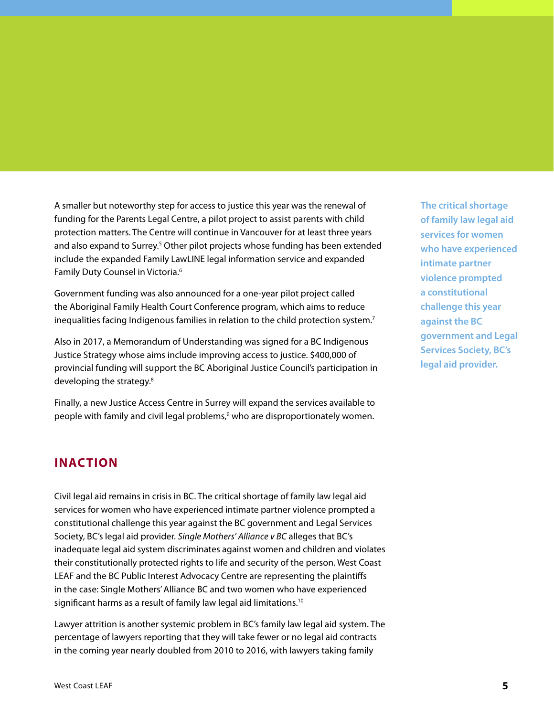A smaller but noteworthy step for access to justice this year was the renewal of funding for the Parents Legal Centre, a pilot project to assist parents with child protection matters. The Centre will continue in Vancouver for at least three years and also expand to Surrey.<sup>5</sup> Other pilot projects whose funding has been extended include the expanded Family LawLINE legal information service and expanded Family Duty Counsel in Victoria.6

Government funding was also announced for a one-year pilot project called the Aboriginal Family Health Court Conference program, which aims to reduce inequalities facing Indigenous families in relation to the child protection system.<sup>7</sup>

Also in 2017, a Memorandum of Understanding was signed for a BC Indigenous Justice Strategy whose aims include improving access to justice. \$400,000 of provincial funding will support the BC Aboriginal Justice Council's participation in developing the strategy.<sup>8</sup>

Finally, a new Justice Access Centre in Surrey will expand the services available to people with family and civil legal problems,<sup>9</sup> who are disproportionately women.

#### **INACTION**

Civil legal aid remains in crisis in BC. The critical shortage of family law legal aid services for women who have experienced intimate partner violence prompted a constitutional challenge this year against the BC government and Legal Services Society, BC's legal aid provider. *Single Mothers' Alliance v BC* alleges that BC's inadequate legal aid system discriminates against women and children and violates their constitutionally protected rights to life and security of the person. West Coast LEAF and the BC Public Interest Advocacy Centre are representing the plaintiffs in the case: Single Mothers' Alliance BC and two women who have experienced significant harms as a result of family law legal aid limitations.<sup>10</sup>

Lawyer attrition is another systemic problem in BC's family law legal aid system. The percentage of lawyers reporting that they will take fewer or no legal aid contracts in the coming year nearly doubled from 2010 to 2016, with lawyers taking family

**The critical shortage of family law legal aid services for women who have experienced intimate partner violence prompted a constitutional challenge this year against the BC government and Legal Services Society, BC's legal aid provider.**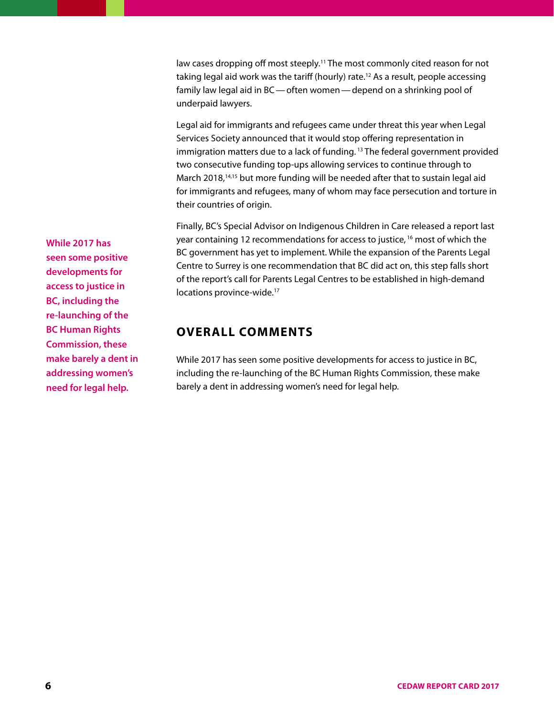law cases dropping off most steeply.<sup>11</sup> The most commonly cited reason for not taking legal aid work was the tariff (hourly) rate.12 As a result, people accessing family law legal aid in BC—often women—depend on a shrinking pool of underpaid lawyers.

Legal aid for immigrants and refugees came under threat this year when Legal Services Society announced that it would stop offering representation in immigration matters due to a lack of funding. 13 The federal government provided two consecutive funding top-ups allowing services to continue through to March 2018,<sup>14,15</sup> but more funding will be needed after that to sustain legal aid for immigrants and refugees, many of whom may face persecution and torture in their countries of origin.

Finally, BC's Special Advisor on Indigenous Children in Care released a report last year containing 12 recommendations for access to justice, 16 most of which the BC government has yet to implement. While the expansion of the Parents Legal Centre to Surrey is one recommendation that BC did act on, this step falls short of the report's call for Parents Legal Centres to be established in high-demand locations province-wide.<sup>17</sup>

#### **OVERALL COMMENTS**

While 2017 has seen some positive developments for access to justice in BC, including the re-launching of the BC Human Rights Commission, these make barely a dent in addressing women's need for legal help.

**While 2017 has seen some positive developments for access to justice in BC, including the re-launching of the BC Human Rights Commission, these make barely a dent in addressing women's need for legal help.**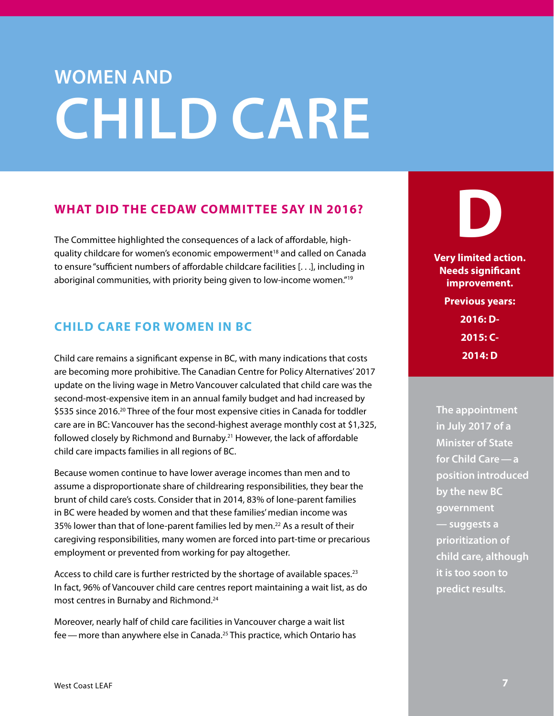### <span id="page-6-0"></span>**WOMEN AND CHILD CARE**

#### **WHAT DID THE CEDAW COMMITTEE SAY IN 2016?**

The Committee highlighted the consequences of a lack of affordable, highquality childcare for women's economic empowerment<sup>18</sup> and called on Canada to ensure "sufficient numbers of affordable childcare facilities [. . .], including in aboriginal communities, with priority being given to low-income women."19

#### **CHILD CARE FOR WOMEN IN BC**

Child care remains a significant expense in BC, with many indications that costs are becoming more prohibitive. The Canadian Centre for Policy Alternatives' 2017 update on the living wage in Metro Vancouver calculated that child care was the second-most-expensive item in an annual family budget and had increased by \$535 since 2016.<sup>20</sup> Three of the four most expensive cities in Canada for toddler care are in BC: Vancouver has the second-highest average monthly cost at \$1,325, followed closely by Richmond and Burnaby.21 However, the lack of affordable child care impacts families in all regions of BC.

Because women continue to have lower average incomes than men and to assume a disproportionate share of childrearing responsibilities, they bear the brunt of child care's costs. Consider that in 2014, 83% of lone-parent families in BC were headed by women and that these families' median income was 35% lower than that of lone-parent families led by men.<sup>22</sup> As a result of their caregiving responsibilities, many women are forced into part-time or precarious employment or prevented from working for pay altogether.

Access to child care is further restricted by the shortage of available spaces.<sup>23</sup> In fact, 96% of Vancouver child care centres report maintaining a wait list, as do most centres in Burnaby and Richmond.24

Moreover, nearly half of child care facilities in Vancouver charge a wait list fee — more than anywhere else in Canada.<sup>25</sup> This practice, which Ontario has

### **D Very limited action. Needs significant improvement. Previous years:**

**2016: D-2015: C-2014: D**

**The appointment in July 2017 of a Minister of State for Child Care—a position introduced by the new BC government — suggests a prioritization of child care, although it is too soon to predict results.**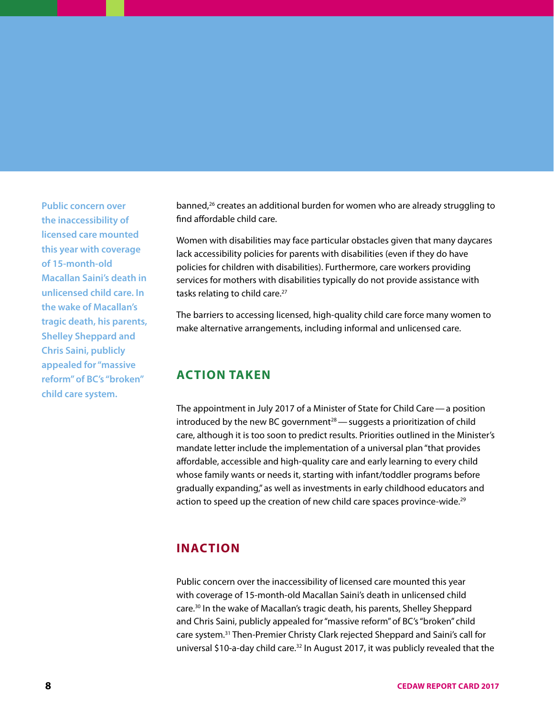**Public concern over the inaccessibility of licensed care mounted this year with coverage of 15-month-old Macallan Saini's death in unlicensed child care. In the wake of Macallan's tragic death, his parents, Shelley Sheppard and Chris Saini, publicly appealed for "massive reform" of BC's "broken" child care system.**

banned,<sup>26</sup> creates an additional burden for women who are already struggling to find affordable child care.

Women with disabilities may face particular obstacles given that many daycares lack accessibility policies for parents with disabilities (even if they do have policies for children with disabilities). Furthermore, care workers providing services for mothers with disabilities typically do not provide assistance with tasks relating to child care.<sup>27</sup>

The barriers to accessing licensed, high-quality child care force many women to make alternative arrangements, including informal and unlicensed care.

#### **ACTION TAKEN**

The appointment in July 2017 of a Minister of State for Child Care—a position introduced by the new BC government<sup>28</sup> — suggests a prioritization of child care, although it is too soon to predict results. Priorities outlined in the Minister's mandate letter include the implementation of a universal plan "that provides affordable, accessible and high-quality care and early learning to every child whose family wants or needs it, starting with infant/toddler programs before gradually expanding," as well as investments in early childhood educators and action to speed up the creation of new child care spaces province-wide.<sup>29</sup>

#### **INACTION**

Public concern over the inaccessibility of licensed care mounted this year with coverage of 15-month-old Macallan Saini's death in unlicensed child care.30 In the wake of Macallan's tragic death, his parents, Shelley Sheppard and Chris Saini, publicly appealed for "massive reform" of BC's "broken" child care system.31 Then-Premier Christy Clark rejected Sheppard and Saini's call for universal \$10-a-day child care.<sup>32</sup> In August 2017, it was publicly revealed that the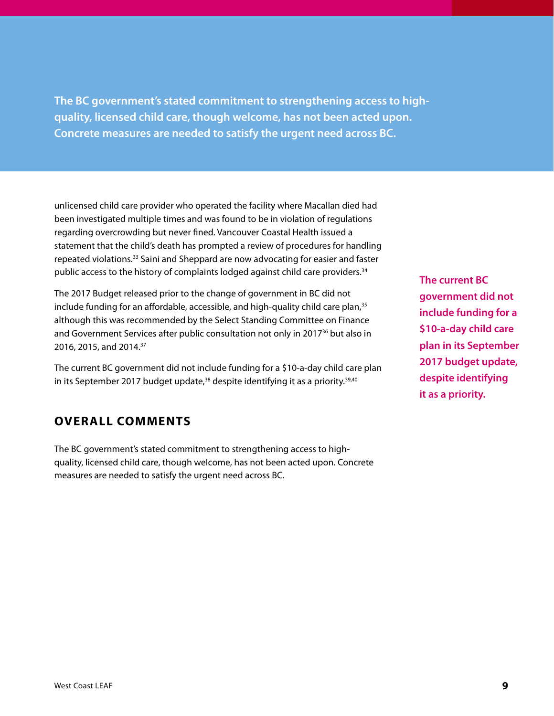**The BC government's stated commitment to strengthening access to highquality, licensed child care, though welcome, has not been acted upon. Concrete measures are needed to satisfy the urgent need across BC.**

unlicensed child care provider who operated the facility where Macallan died had been investigated multiple times and was found to be in violation of regulations regarding overcrowding but never fined. Vancouver Coastal Health issued a statement that the child's death has prompted a review of procedures for handling repeated violations.33 Saini and Sheppard are now advocating for easier and faster public access to the history of complaints lodged against child care providers.<sup>34</sup>

The 2017 Budget released prior to the change of government in BC did not include funding for an affordable, accessible, and high-quality child care plan,<sup>35</sup> although this was recommended by the Select Standing Committee on Finance and Government Services after public consultation not only in 2017<sup>36</sup> but also in 2016, 2015, and 2014.37

The current BC government did not include funding for a \$10-a-day child care plan in its September 2017 budget update,<sup>38</sup> despite identifying it as a priority.<sup>39,40</sup>

#### **OVERALL COMMENTS**

The BC government's stated commitment to strengthening access to highquality, licensed child care, though welcome, has not been acted upon. Concrete measures are needed to satisfy the urgent need across BC.

**The current BC government did not include funding for a \$10-a-day child care plan in its September 2017 budget update, despite identifying it as a priority.**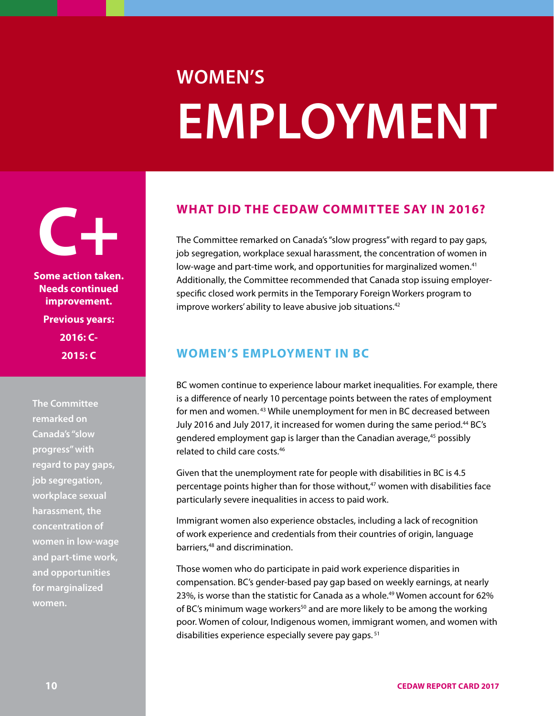### <span id="page-9-0"></span>**WOMEN'S EMPLOYMENT**

**C+ Some action taken. Needs continued improvement. Previous years: 2016: C-2015: C**

**The Committee remarked on Canada's "slow progress" with regard to pay gaps, job segregation, workplace sexual harassment, the concentration of women in low-wage and part-time work, and opportunities for marginalized women.**

#### **WHAT DID THE CEDAW COMMITTEE SAY IN 2016?**

The Committee remarked on Canada's "slow progress" with regard to pay gaps, job segregation, workplace sexual harassment, the concentration of women in low-wage and part-time work, and opportunities for marginalized women.41 Additionally, the Committee recommended that Canada stop issuing employerspecific closed work permits in the Temporary Foreign Workers program to improve workers' ability to leave abusive job situations.<sup>42</sup>

#### **WOMEN'S EMPLOYMENT IN BC**

BC women continue to experience labour market inequalities. For example, there is a difference of nearly 10 percentage points between the rates of employment for men and women. 43 While unemployment for men in BC decreased between July 2016 and July 2017, it increased for women during the same period.<sup>44</sup> BC's gendered employment gap is larger than the Canadian average,<sup>45</sup> possibly related to child care costs.46

Given that the unemployment rate for people with disabilities in BC is 4.5 percentage points higher than for those without, $47$  women with disabilities face particularly severe inequalities in access to paid work.

Immigrant women also experience obstacles, including a lack of recognition of work experience and credentials from their countries of origin, language barriers,<sup>48</sup> and discrimination.

Those women who do participate in paid work experience disparities in compensation. BC's gender-based pay gap based on weekly earnings, at nearly 23%, is worse than the statistic for Canada as a whole.<sup>49</sup> Women account for 62% of BC's minimum wage workers<sup>50</sup> and are more likely to be among the working poor. Women of colour, Indigenous women, immigrant women, and women with disabilities experience especially severe pay gaps. 51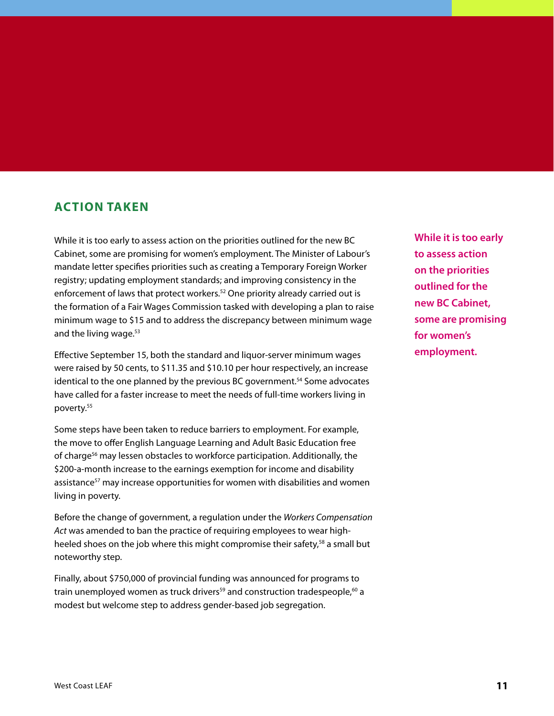#### **ACTION TAKEN**

While it is too early to assess action on the priorities outlined for the new BC Cabinet, some are promising for women's employment. The Minister of Labour's mandate letter specifies priorities such as creating a Temporary Foreign Worker registry; updating employment standards; and improving consistency in the enforcement of laws that protect workers.<sup>52</sup> One priority already carried out is the formation of a Fair Wages Commission tasked with developing a plan to raise minimum wage to \$15 and to address the discrepancy between minimum wage and the living wage.<sup>53</sup>

Effective September 15, both the standard and liquor-server minimum wages were raised by 50 cents, to \$11.35 and \$10.10 per hour respectively, an increase identical to the one planned by the previous BC government.<sup>54</sup> Some advocates have called for a faster increase to meet the needs of full-time workers living in poverty.55

Some steps have been taken to reduce barriers to employment. For example, the move to offer English Language Learning and Adult Basic Education free of charge<sup>56</sup> may lessen obstacles to workforce participation. Additionally, the \$200-a-month increase to the earnings exemption for income and disability assistance<sup>57</sup> may increase opportunities for women with disabilities and women living in poverty.

Before the change of government, a regulation under the *Workers Compensation Act* was amended to ban the practice of requiring employees to wear highheeled shoes on the job where this might compromise their safety,<sup>58</sup> a small but noteworthy step.

Finally, about \$750,000 of provincial funding was announced for programs to train unemployed women as truck drivers<sup>59</sup> and construction tradespeople,<sup>60</sup> a modest but welcome step to address gender-based job segregation.

**While it is too early to assess action on the priorities outlined for the new BC Cabinet, some are promising for women's employment.**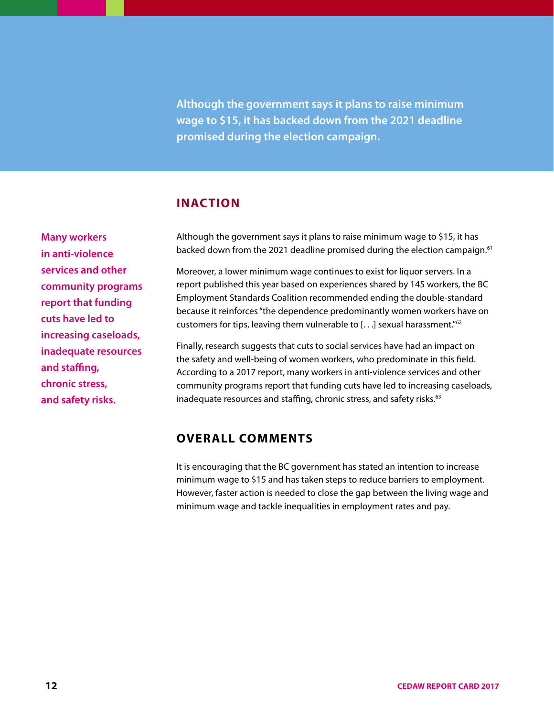**Although the government says it plans to raise minimum wage to \$15, it has backed down from the 2021 deadline promised during the election campaign.**

#### **INACTION**

**Many workers in anti-violence services and other community programs report that funding cuts have led to increasing caseloads, inadequate resources and staffing, chronic stress, and safety risks.**

Although the government says it plans to raise minimum wage to \$15, it has backed down from the 2021 deadline promised during the election campaign.<sup>61</sup>

Moreover, a lower minimum wage continues to exist for liquor servers. In a report published this year based on experiences shared by 145 workers, the BC Employment Standards Coalition recommended ending the double-standard because it reinforces "the dependence predominantly women workers have on customers for tips, leaving them vulnerable to [. . .] sexual harassment."62

Finally, research suggests that cuts to social services have had an impact on the safety and well-being of women workers, who predominate in this field. According to a 2017 report, many workers in anti-violence services and other community programs report that funding cuts have led to increasing caseloads, inadequate resources and staffing, chronic stress, and safety risks.<sup>63</sup>

#### **OVERALL COMMENTS**

It is encouraging that the BC government has stated an intention to increase minimum wage to \$15 and has taken steps to reduce barriers to employment. However, faster action is needed to close the gap between the living wage and minimum wage and tackle inequalities in employment rates and pay.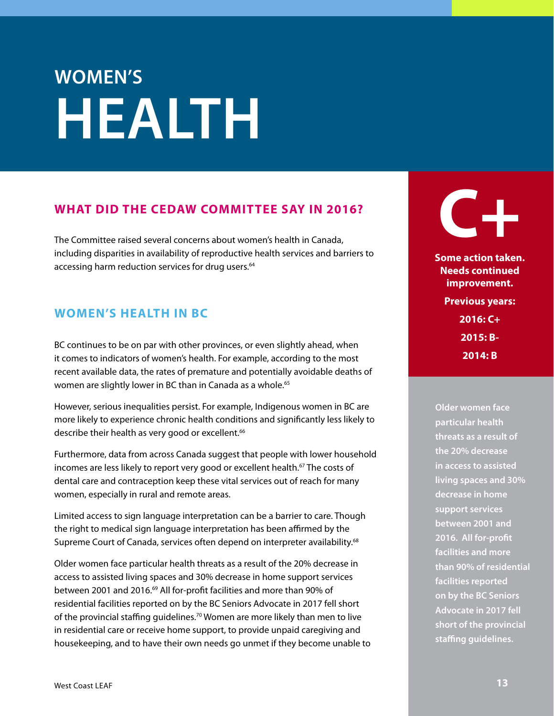# <span id="page-12-0"></span>**WOMEN'S HEALTH**

#### **WHAT DID THE CEDAW COMMITTEE SAY IN 2016?**

The Committee raised several concerns about women's health in Canada, including disparities in availability of reproductive health services and barriers to accessing harm reduction services for drug users.<sup>64</sup>

#### **WOMEN'S HEALTH IN BC**

BC continues to be on par with other provinces, or even slightly ahead, when it comes to indicators of women's health. For example, according to the most recent available data, the rates of premature and potentially avoidable deaths of women are slightly lower in BC than in Canada as a whole.<sup>65</sup>

However, serious inequalities persist. For example, Indigenous women in BC are more likely to experience chronic health conditions and significantly less likely to describe their health as very good or excellent.<sup>66</sup>

Furthermore, data from across Canada suggest that people with lower household incomes are less likely to report very good or excellent health.<sup>67</sup> The costs of dental care and contraception keep these vital services out of reach for many women, especially in rural and remote areas.

Limited access to sign language interpretation can be a barrier to care. Though the right to medical sign language interpretation has been affirmed by the Supreme Court of Canada, services often depend on interpreter availability.<sup>68</sup>

Older women face particular health threats as a result of the 20% decrease in access to assisted living spaces and 30% decrease in home support services between 2001 and 2016.<sup>69</sup> All for-profit facilities and more than 90% of residential facilities reported on by the BC Seniors Advocate in 2017 fell short of the provincial staffing guidelines.<sup>70</sup> Women are more likely than men to live in residential care or receive home support, to provide unpaid caregiving and housekeeping, and to have their own needs go unmet if they become unable to



**Some action taken. Needs continued improvement. Previous years: 2016: C+ 2015: B-2014: B**

**Older women face particular health threats as a result of the 20% decrease in access to assisted living spaces and 30% decrease in home support services between 2001 and 2016. All for-profit facilities and more than 90% of residential facilities reported on by the BC Seniors Advocate in 2017 fell short of the provincial staffing guidelines.**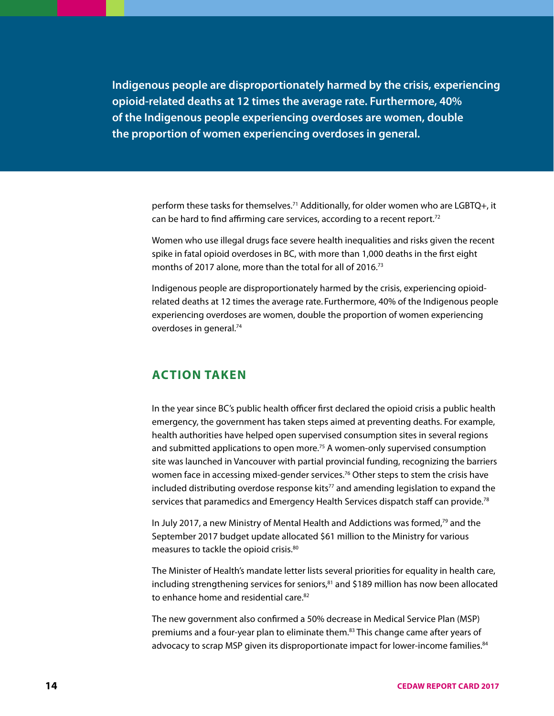**Indigenous people are disproportionately harmed by the crisis, experiencing opioid-related deaths at 12 times the average rate. Furthermore, 40% of the Indigenous people experiencing overdoses are women, double the proportion of women experiencing overdoses in general.**

> perform these tasks for themselves.<sup>71</sup> Additionally, for older women who are LGBTQ+, it can be hard to find affirming care services, according to a recent report.<sup>72</sup>

> Women who use illegal drugs face severe health inequalities and risks given the recent spike in fatal opioid overdoses in BC, with more than 1,000 deaths in the first eight months of 2017 alone, more than the total for all of 2016.73

> Indigenous people are disproportionately harmed by the crisis, experiencing opioidrelated deaths at 12 times the average rate. Furthermore, 40% of the Indigenous people experiencing overdoses are women, double the proportion of women experiencing overdoses in general.<sup>74</sup>

#### **ACTION TAKEN**

In the year since BC's public health officer first declared the opioid crisis a public health emergency, the government has taken steps aimed at preventing deaths. For example, health authorities have helped open supervised consumption sites in several regions and submitted applications to open more.<sup>75</sup> A women-only supervised consumption site was launched in Vancouver with partial provincial funding, recognizing the barriers women face in accessing mixed-gender services.<sup>76</sup> Other steps to stem the crisis have included distributing overdose response kits<sup>77</sup> and amending legislation to expand the services that paramedics and Emergency Health Services dispatch staff can provide.<sup>78</sup>

In July 2017, a new Ministry of Mental Health and Addictions was formed,<sup>79</sup> and the September 2017 budget update allocated \$61 million to the Ministry for various measures to tackle the opioid crisis.80

The Minister of Health's mandate letter lists several priorities for equality in health care, including strengthening services for seniors, $81$  and \$189 million has now been allocated to enhance home and residential care.<sup>82</sup>

The new government also confirmed a 50% decrease in Medical Service Plan (MSP) premiums and a four-year plan to eliminate them.<sup>83</sup> This change came after years of advocacy to scrap MSP given its disproportionate impact for lower-income families.<sup>84</sup>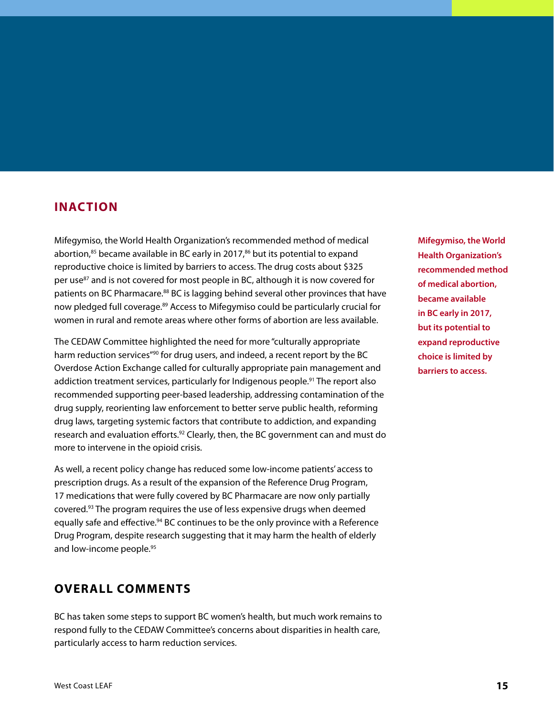#### **INACTION**

Mifegymiso, the World Health Organization's recommended method of medical abortion, $85$  became available in BC early in 2017, $86$  but its potential to expand reproductive choice is limited by barriers to access. The drug costs about \$325 per use<sup>87</sup> and is not covered for most people in BC, although it is now covered for patients on BC Pharmacare.<sup>88</sup> BC is lagging behind several other provinces that have now pledged full coverage.<sup>89</sup> Access to Mifegymiso could be particularly crucial for women in rural and remote areas where other forms of abortion are less available.

The CEDAW Committee highlighted the need for more "culturally appropriate harm reduction services"<sup>90</sup> for drug users, and indeed, a recent report by the BC Overdose Action Exchange called for culturally appropriate pain management and addiction treatment services, particularly for Indigenous people.<sup>91</sup> The report also recommended supporting peer-based leadership, addressing contamination of the drug supply, reorienting law enforcement to better serve public health, reforming drug laws, targeting systemic factors that contribute to addiction, and expanding research and evaluation efforts.<sup>92</sup> Clearly, then, the BC government can and must do more to intervene in the opioid crisis.

As well, a recent policy change has reduced some low-income patients' access to prescription drugs. As a result of the expansion of the Reference Drug Program, 17 medications that were fully covered by BC Pharmacare are now only partially covered.93 The program requires the use of less expensive drugs when deemed equally safe and effective.<sup>94</sup> BC continues to be the only province with a Reference Drug Program, despite research suggesting that it may harm the health of elderly and low-income people.<sup>95</sup>

#### **OVERALL COMMENTS**

BC has taken some steps to support BC women's health, but much work remains to respond fully to the CEDAW Committee's concerns about disparities in health care, particularly access to harm reduction services.

**Mifegymiso, the World Health Organization's recommended method of medical abortion, became available in BC early in 2017, but its potential to expand reproductive choice is limited by barriers to access.**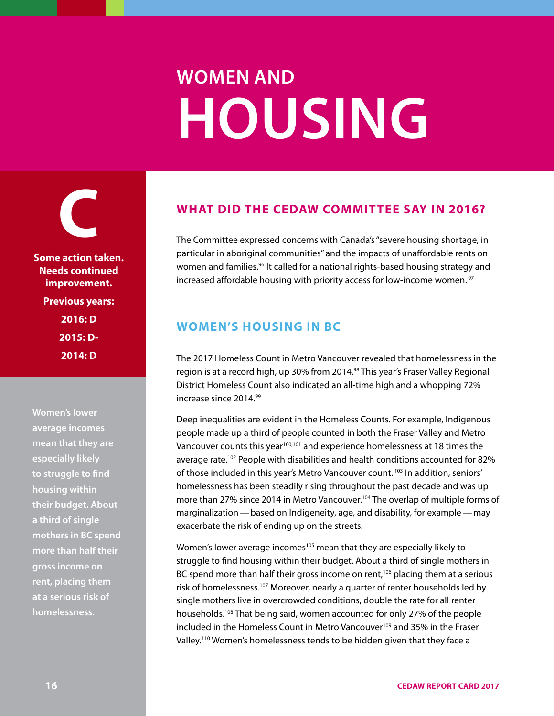# **WOMEN AND HOUSING**

<span id="page-15-0"></span>**C Some action taken. Needs continued improvement. Previous years: 2016: D 2015: D-2014: D**

**Women's lower average incomes mean that they are especially likely to struggle to find housing within their budget. About a third of single mothers in BC spend more than half their gross income on rent, placing them at a serious risk of homelessness.**

#### **WHAT DID THE CEDAW COMMITTEE SAY IN 2016?**

The Committee expressed concerns with Canada's "severe housing shortage, in particular in aboriginal communities" and the impacts of unaffordable rents on women and families.<sup>96</sup> It called for a national rights-based housing strategy and increased affordable housing with priority access for low-income women.<sup>97</sup>

#### **WOMEN'S HOUSING IN BC**

The 2017 Homeless Count in Metro Vancouver revealed that homelessness in the region is at a record high, up 30% from 2014.<sup>98</sup> This year's Fraser Valley Regional District Homeless Count also indicated an all-time high and a whopping 72% increase since 2014.99

Deep inequalities are evident in the Homeless Counts. For example, Indigenous people made up a third of people counted in both the Fraser Valley and Metro Vancouver counts this year<sup>100,101</sup> and experience homelessness at 18 times the average rate.<sup>102</sup> People with disabilities and health conditions accounted for 82% of those included in this year's Metro Vancouver count.<sup>103</sup> In addition, seniors' homelessness has been steadily rising throughout the past decade and was up more than 27% since 2014 in Metro Vancouver.<sup>104</sup> The overlap of multiple forms of marginalization—based on Indigeneity, age, and disability, for example—may exacerbate the risk of ending up on the streets.

Women's lower average incomes<sup>105</sup> mean that they are especially likely to struggle to find housing within their budget. About a third of single mothers in BC spend more than half their gross income on rent,<sup>106</sup> placing them at a serious risk of homelessness.<sup>107</sup> Moreover, nearly a quarter of renter households led by single mothers live in overcrowded conditions, double the rate for all renter households.108 That being said, women accounted for only 27% of the people included in the Homeless Count in Metro Vancouver<sup>109</sup> and 35% in the Fraser Valley.110 Women's homelessness tends to be hidden given that they face a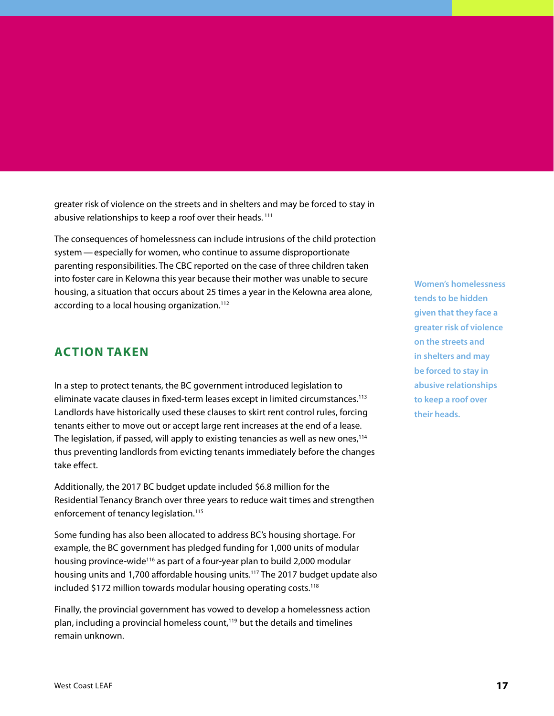greater risk of violence on the streets and in shelters and may be forced to stay in abusive relationships to keep a roof over their heads. 111

The consequences of homelessness can include intrusions of the child protection system—especially for women, who continue to assume disproportionate parenting responsibilities. The CBC reported on the case of three children taken into foster care in Kelowna this year because their mother was unable to secure housing, a situation that occurs about 25 times a year in the Kelowna area alone, according to a local housing organization.<sup>112</sup>

#### **ACTION TAKEN**

In a step to protect tenants, the BC government introduced legislation to eliminate vacate clauses in fixed-term leases except in limited circumstances.<sup>113</sup> Landlords have historically used these clauses to skirt rent control rules, forcing tenants either to move out or accept large rent increases at the end of a lease. The legislation, if passed, will apply to existing tenancies as well as new ones,<sup>114</sup> thus preventing landlords from evicting tenants immediately before the changes take effect.

Additionally, the 2017 BC budget update included \$6.8 million for the Residential Tenancy Branch over three years to reduce wait times and strengthen enforcement of tenancy legislation.<sup>115</sup>

Some funding has also been allocated to address BC's housing shortage. For example, the BC government has pledged funding for 1,000 units of modular housing province-wide<sup>116</sup> as part of a four-year plan to build 2,000 modular housing units and 1,700 affordable housing units.117 The 2017 budget update also included \$172 million towards modular housing operating costs.<sup>118</sup>

Finally, the provincial government has vowed to develop a homelessness action plan, including a provincial homeless count, $119$  but the details and timelines remain unknown.

**Women's homelessness tends to be hidden given that they face a greater risk of violence on the streets and in shelters and may be forced to stay in abusive relationships to keep a roof over their heads.**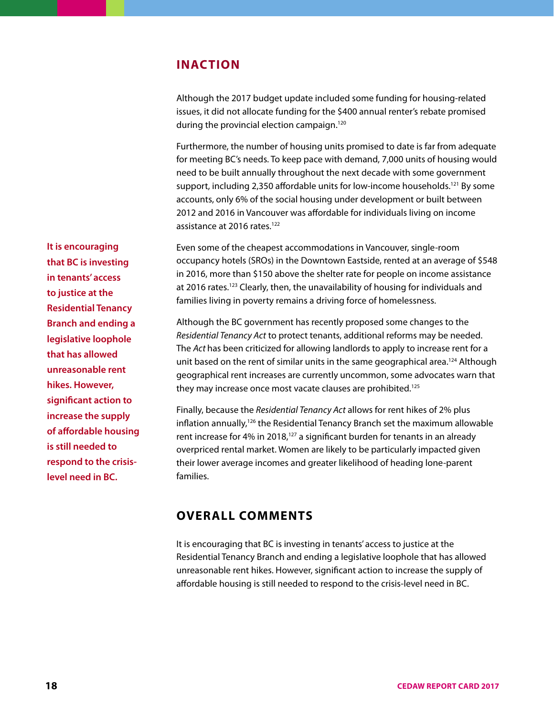#### **INACTION**

Although the 2017 budget update included some funding for housing-related issues, it did not allocate funding for the \$400 annual renter's rebate promised during the provincial election campaign.<sup>120</sup>

Furthermore, the number of housing units promised to date is far from adequate for meeting BC's needs. To keep pace with demand, 7,000 units of housing would need to be built annually throughout the next decade with some government support, including 2,350 affordable units for low-income households.121 By some accounts, only 6% of the social housing under development or built between 2012 and 2016 in Vancouver was affordable for individuals living on income assistance at 2016 rates.<sup>122</sup>

Even some of the cheapest accommodations in Vancouver, single-room occupancy hotels (SROs) in the Downtown Eastside, rented at an average of \$548 in 2016, more than \$150 above the shelter rate for people on income assistance at 2016 rates.<sup>123</sup> Clearly, then, the unavailability of housing for individuals and families living in poverty remains a driving force of homelessness.

Although the BC government has recently proposed some changes to the *Residential Tenancy Act* to protect tenants, additional reforms may be needed. The *Act* has been criticized for allowing landlords to apply to increase rent for a unit based on the rent of similar units in the same geographical area.<sup>124</sup> Although geographical rent increases are currently uncommon, some advocates warn that they may increase once most vacate clauses are prohibited.<sup>125</sup>

Finally, because the *Residential Tenancy Act* allows for rent hikes of 2% plus inflation annually,<sup>126</sup> the Residential Tenancy Branch set the maximum allowable rent increase for 4% in 2018, $127$  a significant burden for tenants in an already overpriced rental market. Women are likely to be particularly impacted given their lower average incomes and greater likelihood of heading lone-parent families.

#### **OVERALL COMMENTS**

It is encouraging that BC is investing in tenants' access to justice at the Residential Tenancy Branch and ending a legislative loophole that has allowed unreasonable rent hikes. However, significant action to increase the supply of affordable housing is still needed to respond to the crisis-level need in BC.

**It is encouraging that BC is investing in tenants' access to justice at the Residential Tenancy Branch and ending a legislative loophole that has allowed unreasonable rent hikes. However, significant action to increase the supply of affordable housing is still needed to respond to the crisislevel need in BC.**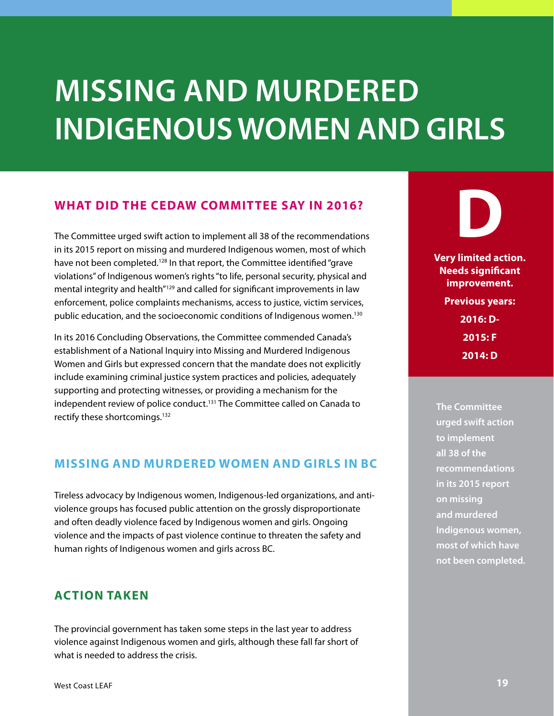### <span id="page-18-0"></span>**MISSING AND MURDERED INDIGENOUS WOMEN AND GIRLS**

#### **WHAT DID THE CEDAW COMMITTEE SAY IN 2016?**

The Committee urged swift action to implement all 38 of the recommendations in its 2015 report on missing and murdered Indigenous women, most of which have not been completed.<sup>128</sup> In that report, the Committee identified "grave violations" of Indigenous women's rights "to life, personal security, physical and mental integrity and health"129 and called for significant improvements in law enforcement, police complaints mechanisms, access to justice, victim services, public education, and the socioeconomic conditions of Indigenous women.130

In its 2016 Concluding Observations, the Committee commended Canada's establishment of a National Inquiry into Missing and Murdered Indigenous Women and Girls but expressed concern that the mandate does not explicitly include examining criminal justice system practices and policies, adequately supporting and protecting witnesses, or providing a mechanism for the independent review of police conduct.<sup>131</sup> The Committee called on Canada to rectify these shortcomings.<sup>132</sup>

#### **MISSING AND MURDERED WOMEN AND GIRLS IN BC**

Tireless advocacy by Indigenous women, Indigenous-led organizations, and antiviolence groups has focused public attention on the grossly disproportionate and often deadly violence faced by Indigenous women and girls. Ongoing violence and the impacts of past violence continue to threaten the safety and human rights of Indigenous women and girls across BC.

#### **ACTION TAKEN**

The provincial government has taken some steps in the last year to address violence against Indigenous women and girls, although these fall far short of what is needed to address the crisis.

**D Very limited action. Needs significant improvement. Previous years: 2016: D-**

**2015: F**

**2014: D**

**The Committee urged swift action to implement all 38 of the recommendations in its 2015 report on missing and murdered Indigenous women, most of which have not been completed.**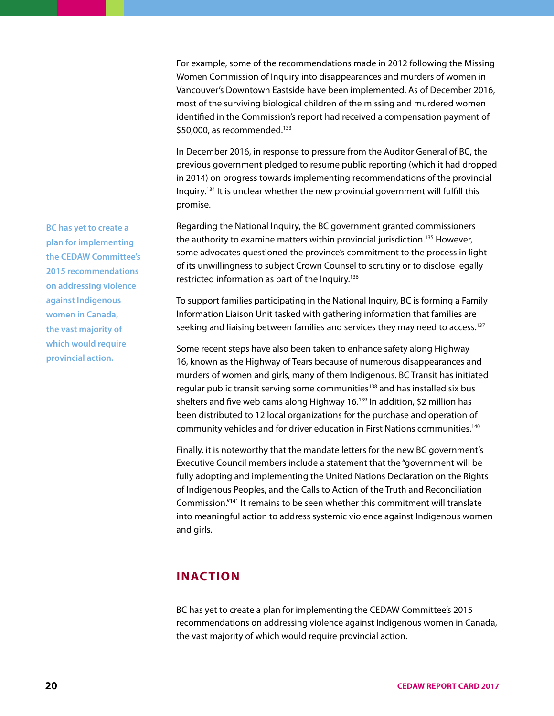For example, some of the recommendations made in 2012 following the Missing Women Commission of Inquiry into disappearances and murders of women in Vancouver's Downtown Eastside have been implemented. As of December 2016, most of the surviving biological children of the missing and murdered women identified in the Commission's report had received a compensation payment of \$50,000, as recommended.<sup>133</sup>

In December 2016, in response to pressure from the Auditor General of BC, the previous government pledged to resume public reporting (which it had dropped in 2014) on progress towards implementing recommendations of the provincial Inquiry.134 It is unclear whether the new provincial government will fulfill this promise.

Regarding the National Inquiry, the BC government granted commissioners the authority to examine matters within provincial jurisdiction.<sup>135</sup> However, some advocates questioned the province's commitment to the process in light of its unwillingness to subject Crown Counsel to scrutiny or to disclose legally restricted information as part of the Inquiry.<sup>136</sup>

To support families participating in the National Inquiry, BC is forming a Family Information Liaison Unit tasked with gathering information that families are seeking and liaising between families and services they may need to access.<sup>137</sup>

Some recent steps have also been taken to enhance safety along Highway 16, known as the Highway of Tears because of numerous disappearances and murders of women and girls, many of them Indigenous. BC Transit has initiated regular public transit serving some communities<sup>138</sup> and has installed six bus shelters and five web cams along Highway 16.<sup>139</sup> In addition, \$2 million has been distributed to 12 local organizations for the purchase and operation of community vehicles and for driver education in First Nations communities.140

Finally, it is noteworthy that the mandate letters for the new BC government's Executive Council members include a statement that the "government will be fully adopting and implementing the United Nations Declaration on the Rights of Indigenous Peoples, and the Calls to Action of the Truth and Reconciliation Commission."141 It remains to be seen whether this commitment will translate into meaningful action to address systemic violence against Indigenous women and girls.

#### **INACTION**

BC has yet to create a plan for implementing the CEDAW Committee's 2015 recommendations on addressing violence against Indigenous women in Canada, the vast majority of which would require provincial action.

**BC has yet to create a plan for implementing the CEDAW Committee's 2015 recommendations on addressing violence against Indigenous women in Canada, the vast majority of which would require provincial action.**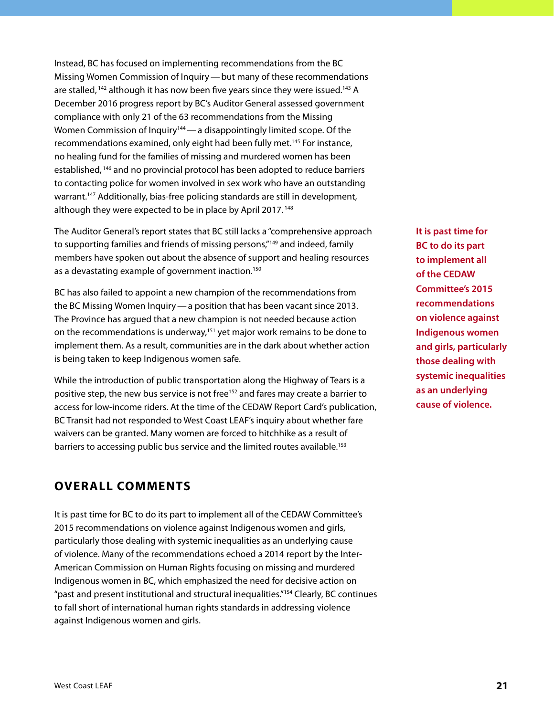Instead, BC has focused on implementing recommendations from the BC Missing Women Commission of Inquiry—but many of these recommendations are stalled,  $142$  although it has now been five years since they were issued.<sup>143</sup> A December 2016 progress report by BC's Auditor General assessed government compliance with only 21 of the 63 recommendations from the Missing Women Commission of Inquiry<sup>144</sup> — a disappointingly limited scope. Of the recommendations examined, only eight had been fully met.<sup>145</sup> For instance, no healing fund for the families of missing and murdered women has been established, 146 and no provincial protocol has been adopted to reduce barriers to contacting police for women involved in sex work who have an outstanding warrant.<sup>147</sup> Additionally, bias-free policing standards are still in development, although they were expected to be in place by April 2017.<sup>148</sup>

The Auditor General's report states that BC still lacks a "comprehensive approach to supporting families and friends of missing persons,"149 and indeed, family members have spoken out about the absence of support and healing resources as a devastating example of government inaction.<sup>150</sup>

BC has also failed to appoint a new champion of the recommendations from the BC Missing Women Inquiry—a position that has been vacant since 2013. The Province has argued that a new champion is not needed because action on the recommendations is underway,<sup>151</sup> yet major work remains to be done to implement them. As a result, communities are in the dark about whether action is being taken to keep Indigenous women safe.

While the introduction of public transportation along the Highway of Tears is a positive step, the new bus service is not free<sup>152</sup> and fares may create a barrier to access for low-income riders. At the time of the CEDAW Report Card's publication, BC Transit had not responded to West Coast LEAF's inquiry about whether fare waivers can be granted. Many women are forced to hitchhike as a result of barriers to accessing public bus service and the limited routes available.<sup>153</sup>

#### **OVERALL COMMENTS**

It is past time for BC to do its part to implement all of the CEDAW Committee's 2015 recommendations on violence against Indigenous women and girls, particularly those dealing with systemic inequalities as an underlying cause of violence. Many of the recommendations echoed a 2014 report by the Inter-American Commission on Human Rights focusing on missing and murdered Indigenous women in BC, which emphasized the need for decisive action on "past and present institutional and structural inequalities."154 Clearly, BC continues to fall short of international human rights standards in addressing violence against Indigenous women and girls.

**It is past time for BC to do its part to implement all of the CEDAW Committee's 2015 recommendations on violence against Indigenous women and girls, particularly those dealing with systemic inequalities as an underlying cause of violence.**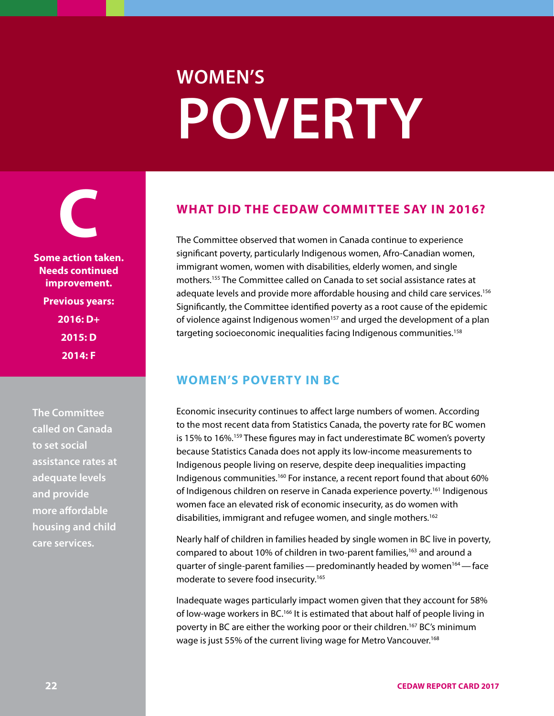# **WOMEN'S POVERTY**

<span id="page-21-0"></span>**C Some action taken. Needs continued improvement. Previous years: 2016: D+ 2015: D**

**2014: F**

**The Committee called on Canada to set social assistance rates at adequate levels and provide more affordable housing and child care services.**

#### **WHAT DID THE CEDAW COMMITTEE SAY IN 2016?**

The Committee observed that women in Canada continue to experience significant poverty, particularly Indigenous women, Afro-Canadian women, immigrant women, women with disabilities, elderly women, and single mothers.155 The Committee called on Canada to set social assistance rates at adequate levels and provide more affordable housing and child care services.<sup>156</sup> Significantly, the Committee identified poverty as a root cause of the epidemic of violence against Indigenous women<sup>157</sup> and urged the development of a plan targeting socioeconomic inequalities facing Indigenous communities.<sup>158</sup>

#### **WOMEN'S POVERTY IN BC**

Economic insecurity continues to affect large numbers of women. According to the most recent data from Statistics Canada, the poverty rate for BC women is 15% to 16%.159 These figures may in fact underestimate BC women's poverty because Statistics Canada does not apply its low-income measurements to Indigenous people living on reserve, despite deep inequalities impacting Indigenous communities.<sup>160</sup> For instance, a recent report found that about 60% of Indigenous children on reserve in Canada experience poverty.<sup>161</sup> Indigenous women face an elevated risk of economic insecurity, as do women with disabilities, immigrant and refugee women, and single mothers.<sup>162</sup>

Nearly half of children in families headed by single women in BC live in poverty, compared to about 10% of children in two-parent families,<sup>163</sup> and around a quarter of single-parent families — predominantly headed by women<sup>164</sup> — face moderate to severe food insecurity.165

Inadequate wages particularly impact women given that they account for 58% of low-wage workers in BC.166 It is estimated that about half of people living in poverty in BC are either the working poor or their children.<sup>167</sup> BC's minimum wage is just 55% of the current living wage for Metro Vancouver.<sup>168</sup>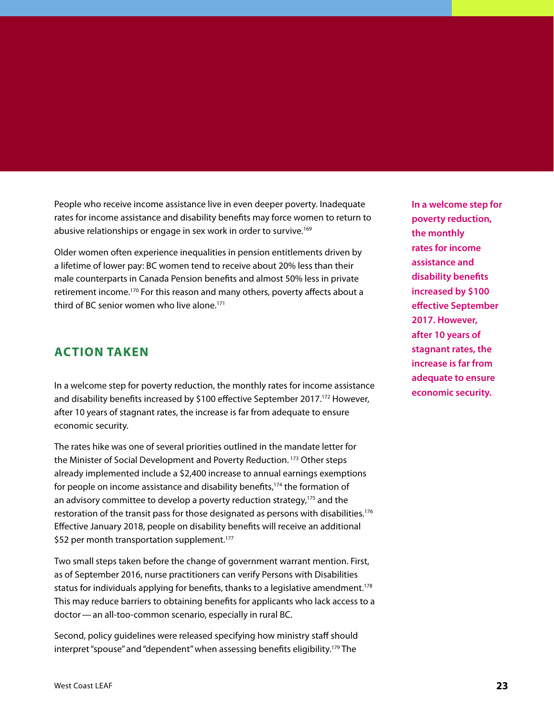People who receive income assistance live in even deeper poverty. Inadequate rates for income assistance and disability benefits may force women to return to abusive relationships or engage in sex work in order to survive.<sup>169</sup>

Older women often experience inequalities in pension entitlements driven by a lifetime of lower pay: BC women tend to receive about 20% less than their male counterparts in Canada Pension benefits and almost 50% less in private retirement income.<sup>170</sup> For this reason and many others, poverty affects about a third of BC senior women who live alone.171

#### **ACTION TAKEN**

In a welcome step for poverty reduction, the monthly rates for income assistance and disability benefits increased by \$100 effective September 2017.172 However, after 10 years of stagnant rates, the increase is far from adequate to ensure economic security.

The rates hike was one of several priorities outlined in the mandate letter for the Minister of Social Development and Poverty Reduction.<sup>173</sup> Other steps already implemented include a \$2,400 increase to annual earnings exemptions for people on income assistance and disability benefits,<sup>174</sup> the formation of an advisory committee to develop a poverty reduction strategy,<sup>175</sup> and the restoration of the transit pass for those designated as persons with disabilities.<sup>176</sup> Effective January 2018, people on disability benefits will receive an additional \$52 per month transportation supplement.<sup>177</sup>

Two small steps taken before the change of government warrant mention. First, as of September 2016, nurse practitioners can verify Persons with Disabilities status for individuals applying for benefits, thanks to a legislative amendment.<sup>178</sup> This may reduce barriers to obtaining benefits for applicants who lack access to a doctor—an all-too-common scenario, especially in rural BC.

Second, policy guidelines were released specifying how ministry staff should interpret "spouse" and "dependent" when assessing benefits eligibility.179 The

**In a welcome step for poverty reduction, the monthly rates for income assistance and disability benefits increased by \$100 effective September 2017. However, after 10 years of stagnant rates, the increase is far from adequate to ensure economic security.**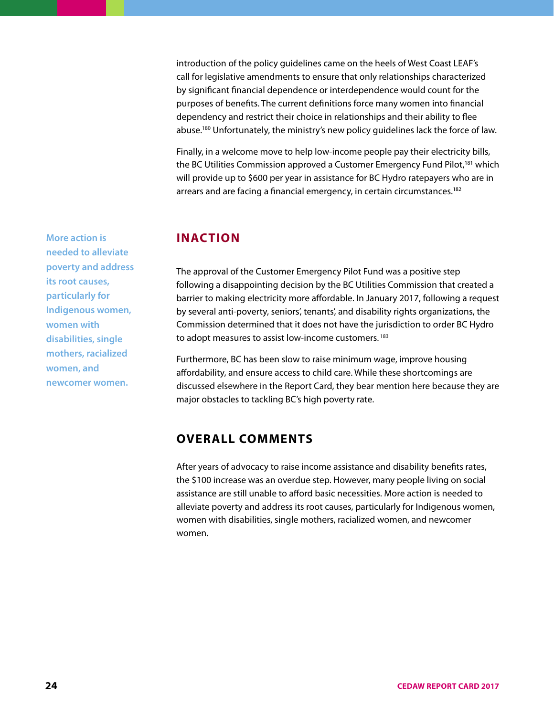introduction of the policy guidelines came on the heels of West Coast LEAF's call for legislative amendments to ensure that only relationships characterized by significant financial dependence or interdependence would count for the purposes of benefits. The current definitions force many women into financial dependency and restrict their choice in relationships and their ability to flee abuse.180 Unfortunately, the ministry's new policy guidelines lack the force of law.

Finally, in a welcome move to help low-income people pay their electricity bills, the BC Utilities Commission approved a Customer Emergency Fund Pilot,<sup>181</sup> which will provide up to \$600 per year in assistance for BC Hydro ratepayers who are in arrears and are facing a financial emergency, in certain circumstances.<sup>182</sup>

#### **INACTION**

The approval of the Customer Emergency Pilot Fund was a positive step following a disappointing decision by the BC Utilities Commission that created a barrier to making electricity more affordable. In January 2017, following a request by several anti-poverty, seniors', tenants', and disability rights organizations, the Commission determined that it does not have the jurisdiction to order BC Hydro to adopt measures to assist low-income customers.<sup>183</sup>

Furthermore, BC has been slow to raise minimum wage, improve housing affordability, and ensure access to child care. While these shortcomings are discussed elsewhere in the Report Card, they bear mention here because they are major obstacles to tackling BC's high poverty rate.

#### **OVERALL COMMENTS**

After years of advocacy to raise income assistance and disability benefits rates, the \$100 increase was an overdue step. However, many people living on social assistance are still unable to afford basic necessities. More action is needed to alleviate poverty and address its root causes, particularly for Indigenous women, women with disabilities, single mothers, racialized women, and newcomer women.

**More action is needed to alleviate poverty and address its root causes, particularly for Indigenous women, women with disabilities, single mothers, racialized women, and newcomer women.**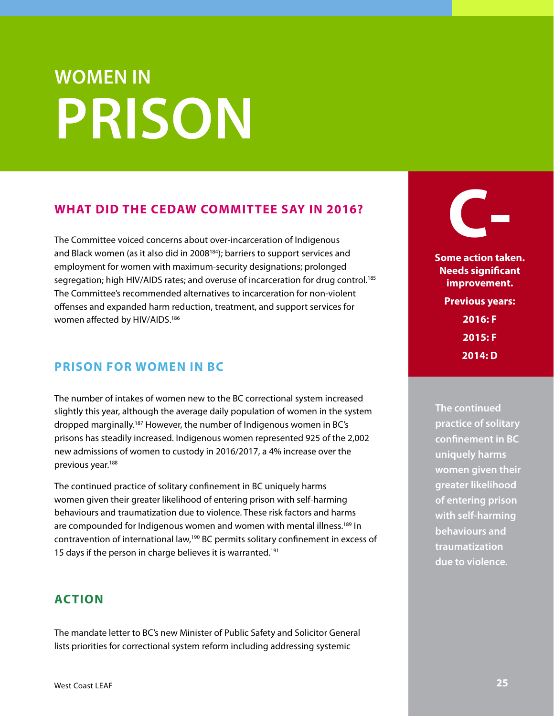# <span id="page-24-0"></span>**WOMEN IN PRISON**

#### **WHAT DID THE CEDAW COMMITTEE SAY IN 2016?**

The Committee voiced concerns about over-incarceration of Indigenous and Black women (as it also did in 2008<sup>184</sup>); barriers to support services and employment for women with maximum-security designations; prolonged segregation; high HIV/AIDS rates; and overuse of incarceration for drug control.185 The Committee's recommended alternatives to incarceration for non-violent offenses and expanded harm reduction, treatment, and support services for women affected by HIV/AIDS.186

#### **PRISON FOR WOMEN IN BC**

The number of intakes of women new to the BC correctional system increased slightly this year, although the average daily population of women in the system dropped marginally.187 However, the number of Indigenous women in BC's prisons has steadily increased. Indigenous women represented 925 of the 2,002 new admissions of women to custody in 2016/2017, a 4% increase over the previous year.188

The continued practice of solitary confinement in BC uniquely harms women given their greater likelihood of entering prison with self-harming behaviours and traumatization due to violence. These risk factors and harms are compounded for Indigenous women and women with mental illness.<sup>189</sup> In contravention of international law,190 BC permits solitary confinement in excess of 15 days if the person in charge believes it is warranted.<sup>191</sup>

#### **ACTION**

The mandate letter to BC's new Minister of Public Safety and Solicitor General lists priorities for correctional system reform including addressing systemic



**Some action taken. Needs significant improvement. Previous years: 2016: F 2015: F 2014: D**

**The continued practice of solitary confinement in BC uniquely harms women given their greater likelihood of entering prison with self-harming behaviours and traumatization due to violence.**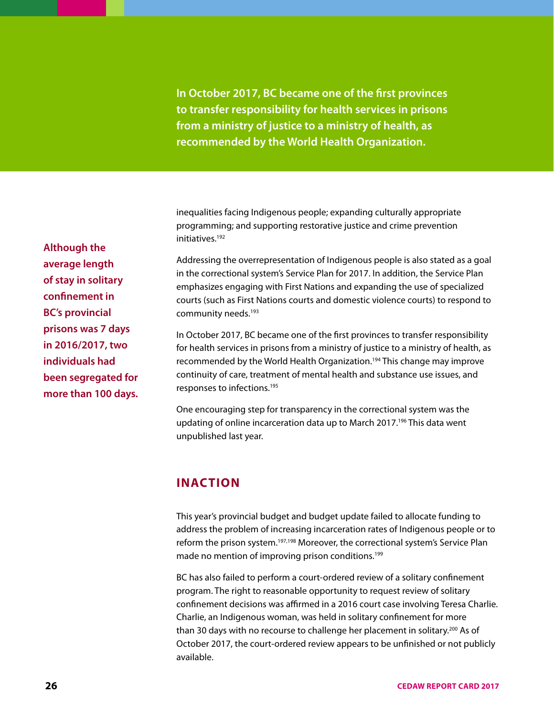**In October 2017, BC became one of the first provinces to transfer responsibility for health services in prisons from a ministry of justice to a ministry of health, as recommended by the World Health Organization.**

inequalities facing Indigenous people; expanding culturally appropriate programming; and supporting restorative justice and crime prevention initiatives.192

Addressing the overrepresentation of Indigenous people is also stated as a goal in the correctional system's Service Plan for 2017. In addition, the Service Plan emphasizes engaging with First Nations and expanding the use of specialized courts (such as First Nations courts and domestic violence courts) to respond to community needs.<sup>193</sup>

In October 2017, BC became one of the first provinces to transfer responsibility for health services in prisons from a ministry of justice to a ministry of health, as recommended by the World Health Organization.<sup>194</sup> This change may improve continuity of care, treatment of mental health and substance use issues, and responses to infections.195

One encouraging step for transparency in the correctional system was the updating of online incarceration data up to March 2017.<sup>196</sup> This data went unpublished last year.

#### **INACTION**

This year's provincial budget and budget update failed to allocate funding to address the problem of increasing incarceration rates of Indigenous people or to reform the prison system.<sup>197,198</sup> Moreover, the correctional system's Service Plan made no mention of improving prison conditions.<sup>199</sup>

BC has also failed to perform a court-ordered review of a solitary confinement program. The right to reasonable opportunity to request review of solitary confinement decisions was affirmed in a 2016 court case involving Teresa Charlie. Charlie, an Indigenous woman, was held in solitary confinement for more than 30 days with no recourse to challenge her placement in solitary.<sup>200</sup> As of October 2017, the court-ordered review appears to be unfinished or not publicly available.

**Although the average length of stay in solitary confinement in BC's provincial prisons was 7 days in 2016/2017, two individuals had been segregated for more than 100 days.**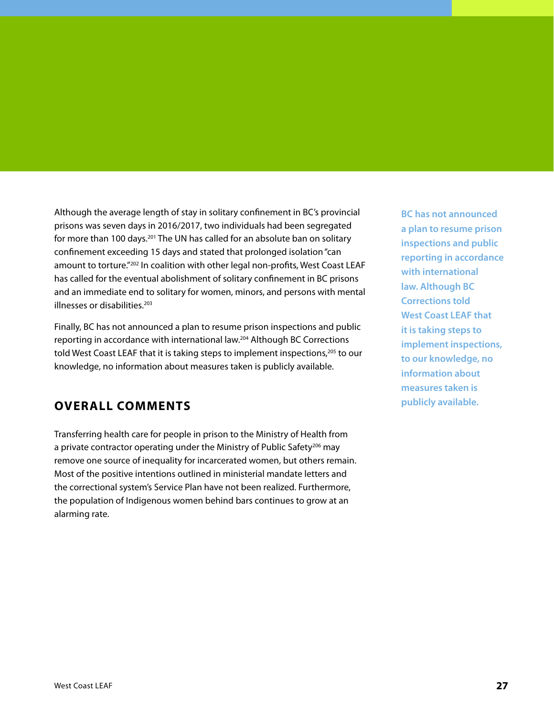Although the average length of stay in solitary confinement in BC's provincial prisons was seven days in 2016/2017, two individuals had been segregated for more than 100 days.<sup>201</sup> The UN has called for an absolute ban on solitary confinement exceeding 15 days and stated that prolonged isolation "can amount to torture."202 In coalition with other legal non-profits, West Coast LEAF has called for the eventual abolishment of solitary confinement in BC prisons and an immediate end to solitary for women, minors, and persons with mental illnesses or disabilities.203

Finally, BC has not announced a plan to resume prison inspections and public reporting in accordance with international law.204 Although BC Corrections told West Coast LEAF that it is taking steps to implement inspections,<sup>205</sup> to our knowledge, no information about measures taken is publicly available.

#### **OVERALL COMMENTS**

Transferring health care for people in prison to the Ministry of Health from a private contractor operating under the Ministry of Public Safety<sup>206</sup> may remove one source of inequality for incarcerated women, but others remain. Most of the positive intentions outlined in ministerial mandate letters and the correctional system's Service Plan have not been realized. Furthermore, the population of Indigenous women behind bars continues to grow at an alarming rate.

**BC has not announced a plan to resume prison inspections and public reporting in accordance with international law. Although BC Corrections told West Coast LEAF that it is taking steps to implement inspections, to our knowledge, no information about measures taken is publicly available.**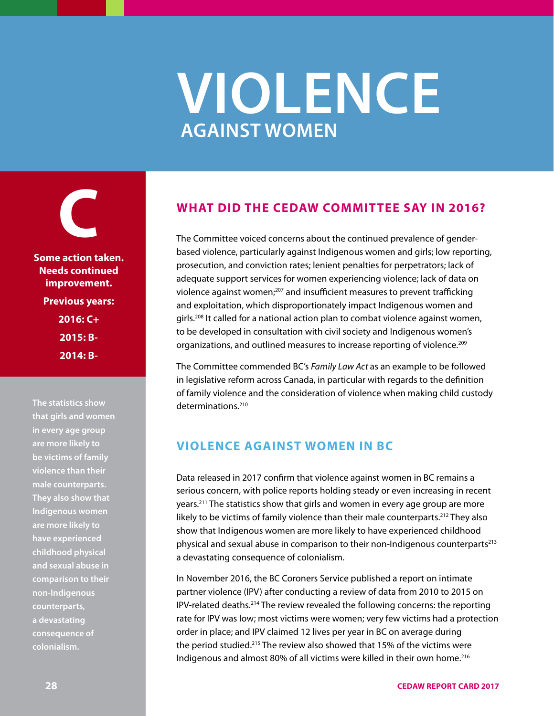### **VIOLENCE AGAINST WOMEN**

<span id="page-27-0"></span>**C Some action taken. Needs continued improvement. Previous years: 2016: C+ 2015: B-2014: B-**

**The statistics show that girls and women in every age group are more likely to be victims of family violence than their male counterparts. They also show that Indigenous women are more likely to have experienced childhood physical and sexual abuse in comparison to their non-Indigenous counterparts, a devastating consequence of colonialism.**

#### **WHAT DID THE CEDAW COMMITTEE SAY IN 2016?**

The Committee voiced concerns about the continued prevalence of genderbased violence, particularly against Indigenous women and girls; low reporting, prosecution, and conviction rates; lenient penalties for perpetrators; lack of adequate support services for women experiencing violence; lack of data on violence against women;<sup>207</sup> and insufficient measures to prevent trafficking and exploitation, which disproportionately impact Indigenous women and girls.208 It called for a national action plan to combat violence against women, to be developed in consultation with civil society and Indigenous women's organizations, and outlined measures to increase reporting of violence.<sup>209</sup>

The Committee commended BC's *Family Law Act* as an example to be followed in legislative reform across Canada, in particular with regards to the definition of family violence and the consideration of violence when making child custody determinations.<sup>210</sup>

#### **VIOLENCE AGAINST WOMEN IN BC**

Data released in 2017 confirm that violence against women in BC remains a serious concern, with police reports holding steady or even increasing in recent years.211 The statistics show that girls and women in every age group are more likely to be victims of family violence than their male counterparts.<sup>212</sup> They also show that Indigenous women are more likely to have experienced childhood physical and sexual abuse in comparison to their non-Indigenous counterparts<sup>213</sup> a devastating consequence of colonialism.

In November 2016, the BC Coroners Service published a report on intimate partner violence (IPV) after conducting a review of data from 2010 to 2015 on IPV-related deaths.214 The review revealed the following concerns: the reporting rate for IPV was low; most victims were women; very few victims had a protection order in place; and IPV claimed 12 lives per year in BC on average during the period studied.215 The review also showed that 15% of the victims were Indigenous and almost 80% of all victims were killed in their own home.<sup>216</sup>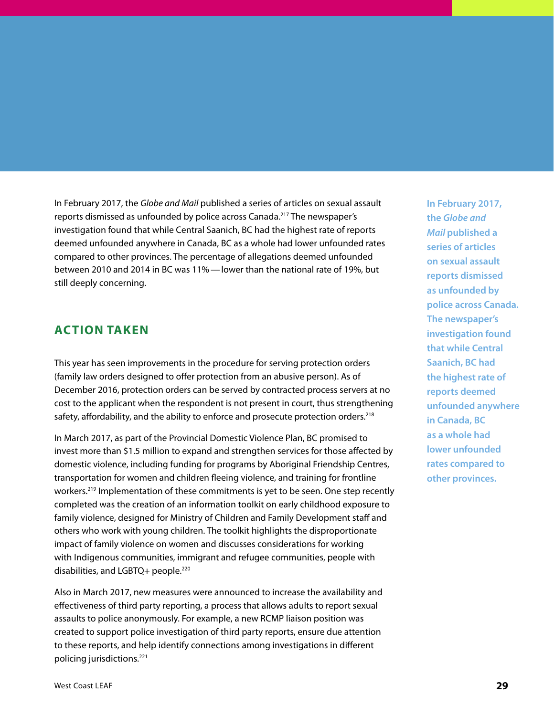In February 2017, the *Globe and Mail* published a series of articles on sexual assault reports dismissed as unfounded by police across Canada.217 The newspaper's investigation found that while Central Saanich, BC had the highest rate of reports deemed unfounded anywhere in Canada, BC as a whole had lower unfounded rates compared to other provinces. The percentage of allegations deemed unfounded between 2010 and 2014 in BC was 11%—lower than the national rate of 19%, but still deeply concerning.

#### **ACTION TAKEN**

This year has seen improvements in the procedure for serving protection orders (family law orders designed to offer protection from an abusive person). As of December 2016, protection orders can be served by contracted process servers at no cost to the applicant when the respondent is not present in court, thus strengthening safety, affordability, and the ability to enforce and prosecute protection orders.<sup>218</sup>

In March 2017, as part of the Provincial Domestic Violence Plan, BC promised to invest more than \$1.5 million to expand and strengthen services for those affected by domestic violence, including funding for programs by Aboriginal Friendship Centres, transportation for women and children fleeing violence, and training for frontline workers.<sup>219</sup> Implementation of these commitments is yet to be seen. One step recently completed was the creation of an information toolkit on early childhood exposure to family violence, designed for Ministry of Children and Family Development staff and others who work with young children. The toolkit highlights the disproportionate impact of family violence on women and discusses considerations for working with Indigenous communities, immigrant and refugee communities, people with disabilities, and LGBTQ+ people.<sup>220</sup>

Also in March 2017, new measures were announced to increase the availability and effectiveness of third party reporting, a process that allows adults to report sexual assaults to police anonymously. For example, a new RCMP liaison position was created to support police investigation of third party reports, ensure due attention to these reports, and help identify connections among investigations in different policing jurisdictions.221

**In February 2017, the** *Globe and Mail* **published a series of articles on sexual assault reports dismissed as unfounded by police across Canada. The newspaper's investigation found that while Central Saanich, BC had the highest rate of reports deemed unfounded anywhere in Canada, BC as a whole had lower unfounded rates compared to other provinces.**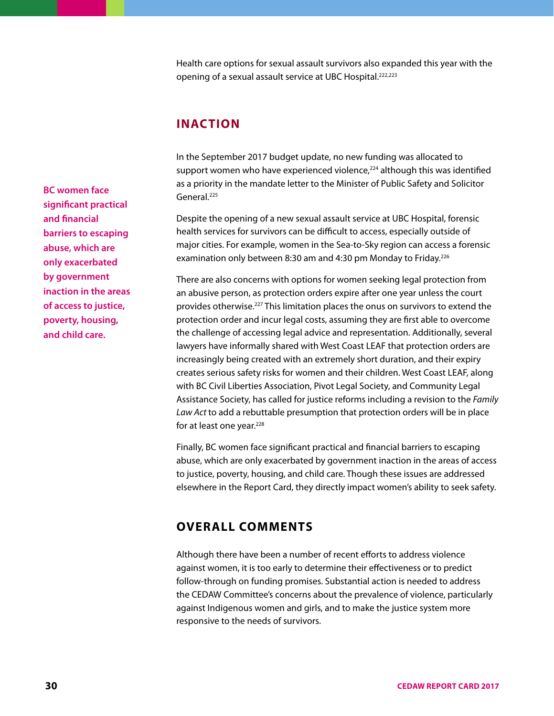Health care options for sexual assault survivors also expanded this year with the opening of a sexual assault service at UBC Hospital.222,223

#### **INACTION**

In the September 2017 budget update, no new funding was allocated to support women who have experienced violence,<sup>224</sup> although this was identified as a priority in the mandate letter to the Minister of Public Safety and Solicitor General.225

Despite the opening of a new sexual assault service at UBC Hospital, forensic health services for survivors can be difficult to access, especially outside of major cities. For example, women in the Sea-to-Sky region can access a forensic examination only between 8:30 am and 4:30 pm Monday to Friday.<sup>226</sup>

There are also concerns with options for women seeking legal protection from an abusive person, as protection orders expire after one year unless the court provides otherwise.<sup>227</sup> This limitation places the onus on survivors to extend the protection order and incur legal costs, assuming they are first able to overcome the challenge of accessing legal advice and representation. Additionally, several lawyers have informally shared with West Coast LEAF that protection orders are increasingly being created with an extremely short duration, and their expiry creates serious safety risks for women and their children. West Coast LEAF, along with BC Civil Liberties Association, Pivot Legal Society, and Community Legal Assistance Society, has called for justice reforms including a revision to the *Family Law Act* to add a rebuttable presumption that protection orders will be in place for at least one year.<sup>228</sup>

Finally, BC women face significant practical and financial barriers to escaping abuse, which are only exacerbated by government inaction in the areas of access to justice, poverty, housing, and child care. Though these issues are addressed elsewhere in the Report Card, they directly impact women's ability to seek safety.

#### **OVERALL COMMENTS**

Although there have been a number of recent efforts to address violence against women, it is too early to determine their effectiveness or to predict follow-through on funding promises. Substantial action is needed to address the CEDAW Committee's concerns about the prevalence of violence, particularly against Indigenous women and girls, and to make the justice system more responsive to the needs of survivors.

**BC women face significant practical and financial barriers to escaping abuse, which are only exacerbated by government inaction in the areas of access to justice, poverty, housing, and child care.**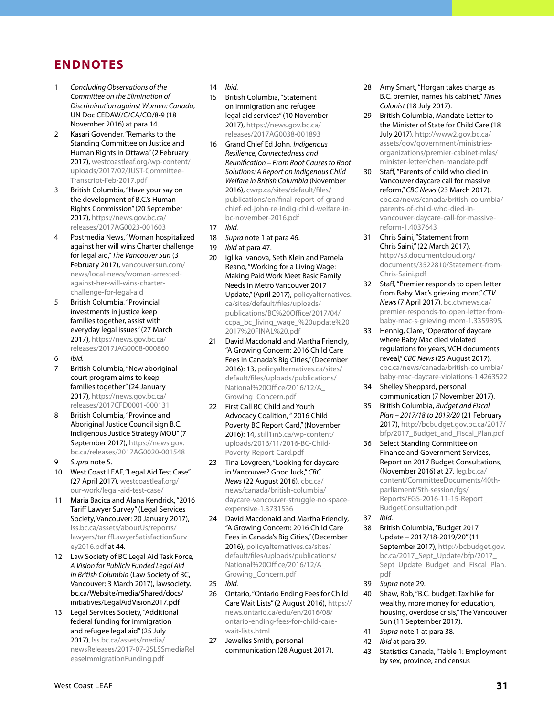#### **ENDNOTES**

- 1 *Concluding Observations of the Committee on the Elimination of Discrimination against Women: Canada*, UN Doc CEDAW/C/CA/CO/8-9 (18 November 2016) at para 14.
- 2 Kasari Govender, "Remarks to the Standing Committee on Justice and Human Rights in Ottawa" (2 February 2017), [westcoastleaf.org/wp-content/](http://www.westcoastleaf.org/wp-content/uploads/2017/02/JUST-Committee-Transcript-Feb-2017.pdf) [uploads/2017/02/JUST-Committee-](http://www.westcoastleaf.org/wp-content/uploads/2017/02/JUST-Committee-Transcript-Feb-2017.pdf)[Transcript-Feb-2017.pdf](http://www.westcoastleaf.org/wp-content/uploads/2017/02/JUST-Committee-Transcript-Feb-2017.pdf)
- 3 British Columbia, "Have your say on the development of B.C.'s Human Rights Commission" (20 September 2017), [https://news.gov.bc.ca/](https://news.gov.bc.ca/releases/2017AG0023-001603) [releases/2017AG0023-001603](https://news.gov.bc.ca/releases/2017AG0023-001603)
- 4 Postmedia News, "Woman hospitalized against her will wins Charter challenge for legal aid," *The Vancouver Sun* (3 February 2017), [vancouversun.com/](http://vancouversun.com/news/local-news/woman-arrested-against-her-will-wins-charter-challenge-for-legal-aid) [news/local-news/woman-arrested](http://vancouversun.com/news/local-news/woman-arrested-against-her-will-wins-charter-challenge-for-legal-aid)[against-her-will-wins-charter](http://vancouversun.com/news/local-news/woman-arrested-against-her-will-wins-charter-challenge-for-legal-aid)[challenge-for-legal-aid](http://vancouversun.com/news/local-news/woman-arrested-against-her-will-wins-charter-challenge-for-legal-aid)
- 5 British Columbia, "Provincial investments in justice keep families together, assist with everyday legal issues" (27 March 2017), [https://news.gov.bc.ca/](https://news.gov.bc.ca/releases/2017JAG0008-000860) [releases/2017JAG0008-000860](https://news.gov.bc.ca/releases/2017JAG0008-000860)
- 6 *Ibid.*
- 7 British Columbia, "New aboriginal court program aims to keep families together" (24 January 2017), [https://news.gov.bc.ca/](https://news.gov.bc.ca/releases/2017CFD0001-000131) [releases/2017CFD0001-000131](https://news.gov.bc.ca/releases/2017CFD0001-000131)
- 8 British Columbia, "Province and Aboriginal Justice Council sign B.C. Indigenous Justice Strategy MOU" (7 September 2017), [https://news.gov.](https://news.gov.bc.ca/releases/2017AG0020-001548) [bc.ca/releases/2017AG0020-001548](https://news.gov.bc.ca/releases/2017AG0020-001548)
- 9 *Supra* note 5.
- 10 West Coast LEAF, "Legal Aid Test Case" (27 April 2017), [westcoastleaf.org/](http://www.westcoastleaf.org/our-work/legal-aid-test-case/) [our-work/legal-aid-test-case/](http://www.westcoastleaf.org/our-work/legal-aid-test-case/)
- 11 Maria Bacica and Alana Kendrick, "2016 Tariff Lawyer Survey" (Legal Services Society, Vancouver: 20 January 2017), [lss.bc.ca/assets/aboutUs/reports/](http://www.lss.bc.ca/assets/aboutUs/reports/lawyers/tariffLawyerSatisfactionSurvey2016.pdf) [lawyers/tariffLawyerSatisfactionSurv](http://www.lss.bc.ca/assets/aboutUs/reports/lawyers/tariffLawyerSatisfactionSurvey2016.pdf) [ey2016.pdf](http://www.lss.bc.ca/assets/aboutUs/reports/lawyers/tariffLawyerSatisfactionSurvey2016.pdf) at 44.
- 12 Law Society of BC Legal Aid Task Force, *A Vision for Publicly Funded Legal Aid in British Columbia* (Law Society of BC, Vancouver: 3 March 2017), lawsociety. bc.ca/Website/media/Shared/docs/ initiatives/LegalAidVision2017.pdf
- 13 Legal Services Society, "Additional federal funding for immigration and refugee legal aid" (25 July 2017), [lss.bc.ca/assets/media/](http://lss.bc.ca/assets/media/newsReleases/2017-07-25LSSmediaReleaseImmigrationFunding.pdf) [newsReleases/2017-07-25LSSmediaRel](http://lss.bc.ca/assets/media/newsReleases/2017-07-25LSSmediaReleaseImmigrationFunding.pdf) [easeImmigrationFunding.pdf](http://lss.bc.ca/assets/media/newsReleases/2017-07-25LSSmediaReleaseImmigrationFunding.pdf)
- 14 *Ibid.*
- 15 British Columbia, "Statement on immigration and refugee legal aid services" (10 November 2017), [https://news.gov.bc.ca/](https://news.gov.bc.ca/releases/2017AG0038-001893) [releases/2017AG0038-001893](https://news.gov.bc.ca/releases/2017AG0038-001893)
- 16 Grand Chief Ed John, *Indigenous Resilience, Connectedness and Reunification – From Root Causes to Root Solutions: A Report on Indigenous Child Welfare in British Columbia* (November 2016), [cwrp.ca/sites/default/files/](http://cwrp.ca/sites/default/files/publications/en/final-report-of-grand-chief-ed-john-re-indig-child-welfare-in-bc-november-2016.pdf) [publications/en/final-report-of-grand](http://cwrp.ca/sites/default/files/publications/en/final-report-of-grand-chief-ed-john-re-indig-child-welfare-in-bc-november-2016.pdf)[chief-ed-john-re-indig-child-welfare-in](http://cwrp.ca/sites/default/files/publications/en/final-report-of-grand-chief-ed-john-re-indig-child-welfare-in-bc-november-2016.pdf)[bc-november-2016.pdf](http://cwrp.ca/sites/default/files/publications/en/final-report-of-grand-chief-ed-john-re-indig-child-welfare-in-bc-november-2016.pdf)
- 17 *Ibid.*
- 18 *Supra* note 1 at para 46.
- 19 *Ibid* at para 47.
- 20 Iglika Ivanova, Seth Klein and Pamela Reano, "Working for a Living Wage: Making Paid Work Meet Basic Family Needs in Metro Vancouver 2017 Update," (April 2017), [policyalternatives.](https://www.policyalternatives.ca/sites/default/files/uploads/publications/BC%20Office/2017/04/ccpa_bc_living_wage_%20update%202017%20FINAL%20.pdf) [ca/sites/default/files/uploads/](https://www.policyalternatives.ca/sites/default/files/uploads/publications/BC%20Office/2017/04/ccpa_bc_living_wage_%20update%202017%20FINAL%20.pdf) [publications/BC%20Office/2017/04/](https://www.policyalternatives.ca/sites/default/files/uploads/publications/BC%20Office/2017/04/ccpa_bc_living_wage_%20update%202017%20FINAL%20.pdf) [ccpa\\_bc\\_living\\_wage\\_%20update%20](https://www.policyalternatives.ca/sites/default/files/uploads/publications/BC%20Office/2017/04/ccpa_bc_living_wage_%20update%202017%20FINAL%20.pdf) [2017%20FINAL%20.pdf](https://www.policyalternatives.ca/sites/default/files/uploads/publications/BC%20Office/2017/04/ccpa_bc_living_wage_%20update%202017%20FINAL%20.pdf)
- 21 David Macdonald and Martha Friendly, "A Growing Concern: 2016 Child Care Fees in Canada's Big Cities," (December 2016): 13, [policyalternatives.ca/sites/](https://www.policyalternatives.ca/sites/default/files/uploads/publications/National%20Office/2016/12/A_Growing_Concern.pdf) [default/files/uploads/publications/](https://www.policyalternatives.ca/sites/default/files/uploads/publications/National%20Office/2016/12/A_Growing_Concern.pdf) [National%20Office/2016/12/A\\_](https://www.policyalternatives.ca/sites/default/files/uploads/publications/National%20Office/2016/12/A_Growing_Concern.pdf) [Growing\\_Concern.pdf](https://www.policyalternatives.ca/sites/default/files/uploads/publications/National%20Office/2016/12/A_Growing_Concern.pdf)
- 22 First Call BC Child and Youth Advocacy Coalition, " 2016 Child Poverty BC Report Card," (November 2016): 14, [still1in5.ca/wp-content/](http://still1in5.ca/wp-content/uploads/2016/11/2016-BC-Child-Poverty-Report-Card.pdf) [uploads/2016/11/2016-BC-Child-](http://still1in5.ca/wp-content/uploads/2016/11/2016-BC-Child-Poverty-Report-Card.pdf)[Poverty-Report-Card.pdf](http://still1in5.ca/wp-content/uploads/2016/11/2016-BC-Child-Poverty-Report-Card.pdf)
- 23 Tina Lovgreen, "Looking for daycare in Vancouver? Good luck," *CBC News* (22 August 2016), [cbc.ca/](http://www.cbc.ca/news/canada/british-columbia/daycare-vancouver-struggle-no-space-expensive-1.3731536) [news/canada/british-columbia/](http://www.cbc.ca/news/canada/british-columbia/daycare-vancouver-struggle-no-space-expensive-1.3731536) [daycare-vancouver-struggle-no-space](http://www.cbc.ca/news/canada/british-columbia/daycare-vancouver-struggle-no-space-expensive-1.3731536)[expensive-1.3731536](http://www.cbc.ca/news/canada/british-columbia/daycare-vancouver-struggle-no-space-expensive-1.3731536)
- 24 David Macdonald and Martha Friendly, "A Growing Concern: 2016 Child Care Fees in Canada's Big Cities," (December 2016), [policyalternatives.ca/sites/](https://www.policyalternatives.ca/sites/default/files/uploads/publications/National%20Office/2016/12/A_Growing_Concern.pdf) [default/files/uploads/publications/](https://www.policyalternatives.ca/sites/default/files/uploads/publications/National%20Office/2016/12/A_Growing_Concern.pdf) [National%20Office/2016/12/A\\_](https://www.policyalternatives.ca/sites/default/files/uploads/publications/National%20Office/2016/12/A_Growing_Concern.pdf) [Growing\\_Concern.pdf](https://www.policyalternatives.ca/sites/default/files/uploads/publications/National%20Office/2016/12/A_Growing_Concern.pdf)
- 25 *Ibid.*
- 26 Ontario, "Ontario Ending Fees for Child Care Wait Lists" (2 August 2016), [https://](https://news.ontario.ca/edu/en/2016/08/ontario-ending-fees-for-child-care-wait-lists.html) [news.ontario.ca/edu/en/2016/08/](https://news.ontario.ca/edu/en/2016/08/ontario-ending-fees-for-child-care-wait-lists.html) [ontario-ending-fees-for-child-care](https://news.ontario.ca/edu/en/2016/08/ontario-ending-fees-for-child-care-wait-lists.html)[wait-lists.html](https://news.ontario.ca/edu/en/2016/08/ontario-ending-fees-for-child-care-wait-lists.html)
- 27 Jewelles Smith, personal communication (28 August 2017).
- 28 Amy Smart, "Horgan takes charge as B.C. premier, names his cabinet," *Times Colonist* (18 July 2017).
- 29 British Columbia, Mandate Letter to the Minister of State for Child Care (18 July 2017), [http://www2.gov.bc.ca/](http://www2.gov.bc.ca/assets/gov/government/ministries-organizations/premier-cabinet-mlas/minister-letter/chen-mandate.pdf) [assets/gov/government/ministries](http://www2.gov.bc.ca/assets/gov/government/ministries-organizations/premier-cabinet-mlas/minister-letter/chen-mandate.pdf)[organizations/premier-cabinet-mlas/](http://www2.gov.bc.ca/assets/gov/government/ministries-organizations/premier-cabinet-mlas/minister-letter/chen-mandate.pdf) [minister-letter/chen-mandate.pdf](http://www2.gov.bc.ca/assets/gov/government/ministries-organizations/premier-cabinet-mlas/minister-letter/chen-mandate.pdf)
- 30 Staff, "Parents of child who died in Vancouver daycare call for massive reform," *CBC News* (23 March 2017), [cbc.ca/news/canada/british-columbia/](http://www.cbc.ca/news/canada/british-columbia/parents-of-child-who-died-in-vancouver-daycare-call-for-massive-reform-1.4037643) [parents-of-child-who-died-in](http://www.cbc.ca/news/canada/british-columbia/parents-of-child-who-died-in-vancouver-daycare-call-for-massive-reform-1.4037643)[vancouver-daycare-call-for-massive](http://www.cbc.ca/news/canada/british-columbia/parents-of-child-who-died-in-vancouver-daycare-call-for-massive-reform-1.4037643)[reform-1.4037643](http://www.cbc.ca/news/canada/british-columbia/parents-of-child-who-died-in-vancouver-daycare-call-for-massive-reform-1.4037643)
- 31 Chris Saini, "Statement from Chris Saini," (22 March 2017), [http://s3.documentcloud.org/](http://s3.documentcloud.org/documents/3522810/Statement-from-Chris-Saini.pdf) [documents/3522810/Statement-from-](http://s3.documentcloud.org/documents/3522810/Statement-from-Chris-Saini.pdf)[Chris-Saini.pdf](http://s3.documentcloud.org/documents/3522810/Statement-from-Chris-Saini.pdf)
- 32 Staff, "Premier responds to open letter from Baby Mac's grieving mom," *CTV News* (7 April 2017), [bc.ctvnews.ca/](http://bc.ctvnews.ca/premier-responds-to-open-letter-from-baby-mac-s-grieving-mom-1.3359895) [premier-responds-to-open-letter-from](http://bc.ctvnews.ca/premier-responds-to-open-letter-from-baby-mac-s-grieving-mom-1.3359895)[baby-mac-s-grieving-mom-1.3359895](http://bc.ctvnews.ca/premier-responds-to-open-letter-from-baby-mac-s-grieving-mom-1.3359895).
- 33 Hennig, Clare, "Operator of daycare where Baby Mac died violated regulations for years, VCH documents reveal," *CBC News* (25 August 2017), [cbc.ca/news/canada/british-columbia/](http://www.cbc.ca/news/canada/british-columbia/baby-mac-daycare-violations-1.4263522) [baby-mac-daycare-violations-1.4263522](http://www.cbc.ca/news/canada/british-columbia/baby-mac-daycare-violations-1.4263522)
- 34 Shelley Sheppard, personal communication (7 November 2017).
- 35 British Columbia, *Budget and Fiscal Plan – 2017/18 to 2019/20* (21 February 2017), [http://bcbudget.gov.bc.ca/2017/](http://bcbudget.gov.bc.ca/2017/bfp/2017_Budget_and_Fiscal_Plan.pdf) [bfp/2017\\_Budget\\_and\\_Fiscal\\_Plan.pdf](http://bcbudget.gov.bc.ca/2017/bfp/2017_Budget_and_Fiscal_Plan.pdf)
- 36 Select Standing Committee on Finance and Government Services, Report on 2017 Budget Consultations, (November 2016) at 27, [leg.bc.ca/](https://www.leg.bc.ca/content/CommitteeDocuments/40th-parliament/5th-session/fgs/Reports/FGS-2016-11-15-Report_BudgetConsultation.pdf) [content/CommitteeDocuments/40th](https://www.leg.bc.ca/content/CommitteeDocuments/40th-parliament/5th-session/fgs/Reports/FGS-2016-11-15-Report_BudgetConsultation.pdf)[parliament/5th-session/fgs/](https://www.leg.bc.ca/content/CommitteeDocuments/40th-parliament/5th-session/fgs/Reports/FGS-2016-11-15-Report_BudgetConsultation.pdf) [Reports/FGS-2016-11-15-Report\\_](https://www.leg.bc.ca/content/CommitteeDocuments/40th-parliament/5th-session/fgs/Reports/FGS-2016-11-15-Report_BudgetConsultation.pdf) [BudgetConsultation.pdf](https://www.leg.bc.ca/content/CommitteeDocuments/40th-parliament/5th-session/fgs/Reports/FGS-2016-11-15-Report_BudgetConsultation.pdf)
- 37 *Ibid.*
- 38 British Columbia, "Budget 2017 Update – 2017/18-2019/20" (11 September 2017), [http://bcbudget.gov.](http://bcbudget.gov.bc.ca/2017_Sept_Update/bfp/2017_Sept_Update_Budget_and_Fiscal_Plan.pdf) [bc.ca/2017\\_Sept\\_Update/bfp/2017\\_](http://bcbudget.gov.bc.ca/2017_Sept_Update/bfp/2017_Sept_Update_Budget_and_Fiscal_Plan.pdf) [Sept\\_Update\\_Budget\\_and\\_Fiscal\\_Plan.](http://bcbudget.gov.bc.ca/2017_Sept_Update/bfp/2017_Sept_Update_Budget_and_Fiscal_Plan.pdf) [pdf](http://bcbudget.gov.bc.ca/2017_Sept_Update/bfp/2017_Sept_Update_Budget_and_Fiscal_Plan.pdf)
- 39 *Supra* note 29.
- 40 Shaw, Rob, "B.C. budget: Tax hike for wealthy, more money for education, housing, overdose crisis," The Vancouver Sun (11 September 2017).
- 41 *Supra* note 1 at para 38.
- 42 *Ibid* at para 39.
- 43 Statistics Canada, "Table 1: Employment by sex, province, and census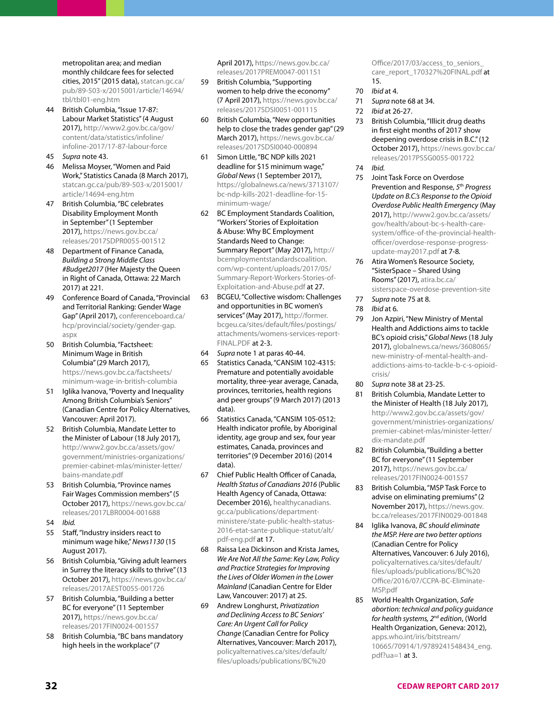metropolitan area; and median monthly childcare fees for selected cities, 2015" (2015 data), [statcan.gc.ca/](http://www.statcan.gc.ca/pub/89-503-x/2015001/article/14694/tbl/tbl01-eng.htm) [pub/89-503-x/2015001/article/14694/](http://www.statcan.gc.ca/pub/89-503-x/2015001/article/14694/tbl/tbl01-eng.htm) [tbl/tbl01-eng.htm](http://www.statcan.gc.ca/pub/89-503-x/2015001/article/14694/tbl/tbl01-eng.htm)

- British Columbia, "Issue 17-87: Labour Market Statistics" (4 August 2017), [http://www2.gov.bc.ca/gov/](http://www2.gov.bc.ca/gov/content/data/statistics/infoline/infoline-2017/17-87-labour-force) [content/data/statistics/infoline/](http://www2.gov.bc.ca/gov/content/data/statistics/infoline/infoline-2017/17-87-labour-force) [infoline-2017/17-87-labour-force](http://www2.gov.bc.ca/gov/content/data/statistics/infoline/infoline-2017/17-87-labour-force)
- 45 *Supra* note 43.
- 46 Melissa Moyser, "Women and Paid Work," Statistics Canada (8 March 2017), [statcan.gc.ca/pub/89-503-x/2015001/](http://www.statcan.gc.ca/pub/89-503-x/2015001/article/14694-eng.htm) [article/14694-eng.htm](http://www.statcan.gc.ca/pub/89-503-x/2015001/article/14694-eng.htm)
- 47 British Columbia, "BC celebrates Disability Employment Month in September" (1 September 2017), [https://news.gov.bc.ca/](https://news.gov.bc.ca/releases/2017SDPR0055-001512) [releases/2017SDPR0055-001512](https://news.gov.bc.ca/releases/2017SDPR0055-001512)
- 48 Department of Finance Canada, *Building a Strong Middle Class #Budget2017* (Her Majesty the Queen in Right of Canada, Ottawa: 22 March 2017) at 221.
- 49 Conference Board of Canada, "Provincial and Territorial Ranking: Gender Wage Gap" (April 2017), [conferenceboard.ca/](http://www.conferenceboard.ca/hcp/provincial/society/gender-gap.aspx) [hcp/provincial/society/gender-gap.](http://www.conferenceboard.ca/hcp/provincial/society/gender-gap.aspx) [aspx](http://www.conferenceboard.ca/hcp/provincial/society/gender-gap.aspx)
- 50 British Columbia, "Factsheet: Minimum Wage in British Columbia" (29 March 2017), [https://news.gov.bc.ca/factsheets/](https://news.gov.bc.ca/factsheets/minimum-wage-in-british-columbia) [minimum-wage-in-british-columbia](https://news.gov.bc.ca/factsheets/minimum-wage-in-british-columbia)
- 51 Iglika Ivanova, "Poverty and Inequality Among British Columbia's Seniors" (Canadian Centre for Policy Alternatives, Vancouver: April 2017).
- 52 British Columbia, Mandate Letter to the Minister of Labour (18 July 2017), [http://www2.gov.bc.ca/assets/gov/](http://www2.gov.bc.ca/assets/gov/government/ministries-organizations/premier-cabinet-mlas/minister-letter/bains-mandate.pdf) [government/ministries-organizations/](http://www2.gov.bc.ca/assets/gov/government/ministries-organizations/premier-cabinet-mlas/minister-letter/bains-mandate.pdf) [premier-cabinet-mlas/minister-letter/](http://www2.gov.bc.ca/assets/gov/government/ministries-organizations/premier-cabinet-mlas/minister-letter/bains-mandate.pdf) [bains-mandate.pdf](http://www2.gov.bc.ca/assets/gov/government/ministries-organizations/premier-cabinet-mlas/minister-letter/bains-mandate.pdf)
- 53 British Columbia, "Province names Fair Wages Commission members" (5 October 2017), [https://news.gov.bc.ca/](https://news.gov.bc.ca/releases/2017LBR0004-001688) [releases/2017LBR0004-001688](https://news.gov.bc.ca/releases/2017LBR0004-001688)
- 54 *Ibid.*
- 55 Staff, "Industry insiders react to minimum wage hike," *News1130* (15 August 2017).
- 56 British Columbia, "Giving adult learners in Surrey the literacy skills to thrive" (13 October 2017), [https://news.gov.bc.ca/](https://news.gov.bc.ca/releases/2017AEST0055-001726) [releases/2017AEST0055-001726](https://news.gov.bc.ca/releases/2017AEST0055-001726)
- 57 British Columbia, "Building a better BC for everyone" (11 September 2017), [https://news.gov.bc.ca/](https://news.gov.bc.ca/releases/2017FIN0024-001557) [releases/2017FIN0024-001557](https://news.gov.bc.ca/releases/2017FIN0024-001557)
- 58 British Columbia, "BC bans mandatory high heels in the workplace" (7

April 2017), [https://news.gov.bc.ca/](https://news.gov.bc.ca/releases/2017PREM0047-001151) [releases/2017PREM0047-001151](https://news.gov.bc.ca/releases/2017PREM0047-001151)

- 59 British Columbia, "Supporting women to help drive the economy" (7 April 2017), [https://news.gov.bc.ca/](https://news.gov.bc.ca/releases/2017SDSI0051-001115) [releases/2017SDSI0051-001115](https://news.gov.bc.ca/releases/2017SDSI0051-001115)
- 60 British Columbia, "New opportunities help to close the trades gender gap" (29 March 2017), [https://news.gov.bc.ca/](https://news.gov.bc.ca/releases/2017SDSI0040-000894) [releases/2017SDSI0040-000894](https://news.gov.bc.ca/releases/2017SDSI0040-000894)
- 61 Simon Little, "BC NDP kills 2021 deadline for \$15 minimum wage," *Global News* (1 September 2017), [https://globalnews.ca/news/3713107/](https://globalnews.ca/news/3713107/bc-ndp-kills-2021-deadline-for-15-minimum-wage/) [bc-ndp-kills-2021-deadline-for-15](https://globalnews.ca/news/3713107/bc-ndp-kills-2021-deadline-for-15-minimum-wage/) [minimum-wage/](https://globalnews.ca/news/3713107/bc-ndp-kills-2021-deadline-for-15-minimum-wage/)
- 62 BC Employment Standards Coalition, "Workers' Stories of Exploitation & Abuse: Why BC Employment Standards Need to Change: Summary Report" (May 2017), [http://](http://bcemploymentstandardscoalition.com/wp-content/uploads/2017/05/Summary-Report-Workers-Stories-of-Exploitation-and-Abuse.pdf) [bcemploymentstandardscoalition.](http://bcemploymentstandardscoalition.com/wp-content/uploads/2017/05/Summary-Report-Workers-Stories-of-Exploitation-and-Abuse.pdf) [com/wp-content/uploads/2017/05/](http://bcemploymentstandardscoalition.com/wp-content/uploads/2017/05/Summary-Report-Workers-Stories-of-Exploitation-and-Abuse.pdf) [Summary-Report-Workers-Stories-of-](http://bcemploymentstandardscoalition.com/wp-content/uploads/2017/05/Summary-Report-Workers-Stories-of-Exploitation-and-Abuse.pdf)[Exploitation-and-Abuse.pdf](http://bcemploymentstandardscoalition.com/wp-content/uploads/2017/05/Summary-Report-Workers-Stories-of-Exploitation-and-Abuse.pdf) at 27.
- 63 BCGEU, "Collective wisdom: Challenges and opportunities in BC women's services" (May 2017), [http://former.](http://former.bcgeu.ca/sites/default/files/postings/attachments/womens-services-report-FINAL.PDF) [bcgeu.ca/sites/default/files/postings/](http://former.bcgeu.ca/sites/default/files/postings/attachments/womens-services-report-FINAL.PDF) [attachments/womens-services-report-](http://former.bcgeu.ca/sites/default/files/postings/attachments/womens-services-report-FINAL.PDF)[FINAL.PDF](http://former.bcgeu.ca/sites/default/files/postings/attachments/womens-services-report-FINAL.PDF) at 2-3.
- 64 *Supra* note 1 at paras 40-44.
- 65 Statistics Canada, "CANSIM 102-4315: Premature and potentially avoidable mortality, three-year average, Canada, provinces, territories, health regions and peer groups" (9 March 2017) (2013 data).
- 66 Statistics Canada, "CANSIM 105-0512: Health indicator profile, by Aboriginal identity, age group and sex, four year estimates, Canada, provinces and territories" (9 December 2016) (2014 data).
- 67 Chief Public Health Officer of Canada, *Health Status of Canadians 2016* (Public Health Agency of Canada, Ottawa: December 2016), [healthycanadians.](http://www.healthycanadians.gc.ca/publications/department-ministere/state-public-health-status-2016-etat-sante-publique-statut/alt/pdf-eng.pdf) [gc.ca/publications/department](http://www.healthycanadians.gc.ca/publications/department-ministere/state-public-health-status-2016-etat-sante-publique-statut/alt/pdf-eng.pdf)[ministere/state-public-health-status-](http://www.healthycanadians.gc.ca/publications/department-ministere/state-public-health-status-2016-etat-sante-publique-statut/alt/pdf-eng.pdf)[2016-etat-sante-publique-statut/alt/](http://www.healthycanadians.gc.ca/publications/department-ministere/state-public-health-status-2016-etat-sante-publique-statut/alt/pdf-eng.pdf) [pdf-eng.pdf](http://www.healthycanadians.gc.ca/publications/department-ministere/state-public-health-status-2016-etat-sante-publique-statut/alt/pdf-eng.pdf) at 17.
- 68 Raissa Lea Dickinson and Krista James, *We Are Not All the Same: Key Law, Policy and Practice Strategies for Improving the Lives of Older Women in the Lower Mainland* (Canadian Centre for Elder Law, Vancouver: 2017) at 25.
- 69 Andrew Longhurst, *Privatization and Declining Access to BC Seniors' Care: An Urgent Call for Policy Change* (Canadian Centre for Policy Alternatives, Vancouver: March 2017), [policyalternatives.ca/sites/default/](https://www.policyalternatives.ca/sites/default/files/uploads/publications/BC%20Office/2017/03/access_to_seniors_care_report_170327%20FINAL.pdf) [files/uploads/publications/BC%20](https://www.policyalternatives.ca/sites/default/files/uploads/publications/BC%20Office/2017/03/access_to_seniors_care_report_170327%20FINAL.pdf)

[Office/2017/03/access\\_to\\_seniors\\_](https://www.policyalternatives.ca/sites/default/files/uploads/publications/BC%20Office/2017/03/access_to_seniors_care_report_170327%20FINAL.pdf) [care\\_report\\_170327%20FINAL.pdf](https://www.policyalternatives.ca/sites/default/files/uploads/publications/BC%20Office/2017/03/access_to_seniors_care_report_170327%20FINAL.pdf) at 15.

- 70 *Ibid* at 4.
- 71 *Supra* note 68 at 34.
- 72 *Ibid* at 26-27.
- 73 British Columbia, "Illicit drug deaths in first eight months of 2017 show deepening overdose crisis in B.C." (12 October 2017), [https://news.gov.bc.ca/](https://news.gov.bc.ca/releases/2017PSSG0055-001722) [releases/2017PSSG0055-001722](https://news.gov.bc.ca/releases/2017PSSG0055-001722) 74 *Ibid.*
- 75 Joint Task Force on Overdose Prevention and Response, *5*th *Progress Update on B.C.'s Response to the Opioid Overdose Public Health Emergency* (May 2017), [http://www2.gov.bc.ca/assets/](http://www2.gov.bc.ca/assets/gov/health/about-bc-s-health-care-system/office-of-the-provincial-health-officer/overdose-response-progress-update-may2017.pdf) [gov/health/about-bc-s-health-care](http://www2.gov.bc.ca/assets/gov/health/about-bc-s-health-care-system/office-of-the-provincial-health-officer/overdose-response-progress-update-may2017.pdf)[system/office-of-the-provincial-health](http://www2.gov.bc.ca/assets/gov/health/about-bc-s-health-care-system/office-of-the-provincial-health-officer/overdose-response-progress-update-may2017.pdf)[officer/overdose-response-progress-](http://www2.gov.bc.ca/assets/gov/health/about-bc-s-health-care-system/office-of-the-provincial-health-officer/overdose-response-progress-update-may2017.pdf)
- [update-may2017.pdf](http://www2.gov.bc.ca/assets/gov/health/about-bc-s-health-care-system/office-of-the-provincial-health-officer/overdose-response-progress-update-may2017.pdf) at 7-8*.* 76 Atira Women's Resource Society, "SisterSpace – Shared Using Rooms" (2017), [atira.bc.ca/](http://www.atira.bc.ca/sisterspace-overdose-prevention-site) [sisterspace-overdose-prevention-site](http://www.atira.bc.ca/sisterspace-overdose-prevention-site)
- 77 *Supra* note 75 at 8.
- 78 *Ibid* at 6*.*
- 79 Jon Azpiri, "New Ministry of Mental Health and Addictions aims to tackle BC's opioid crisis," *Global News* (18 July 2017), [globalnews.ca/news/3608065/](http://globalnews.ca/news/3608065/new-ministry-of-mental-health-and-addictions-aims-to-tackle-b-c-s-opioid-crisis/) [new-ministry-of-mental-health-and](http://globalnews.ca/news/3608065/new-ministry-of-mental-health-and-addictions-aims-to-tackle-b-c-s-opioid-crisis/)[addictions-aims-to-tackle-b-c-s-opioid](http://globalnews.ca/news/3608065/new-ministry-of-mental-health-and-addictions-aims-to-tackle-b-c-s-opioid-crisis/)[crisis/](http://globalnews.ca/news/3608065/new-ministry-of-mental-health-and-addictions-aims-to-tackle-b-c-s-opioid-crisis/)
- 80 *Supra* note 38 at 23-25.
- 81 British Columbia, Mandate Letter to the Minister of Health (18 July 2017), [http://www2.gov.bc.ca/assets/gov/](http://www2.gov.bc.ca/assets/gov/government/ministries-organizations/premier-cabinet-mlas/minister-letter/dix-mandate.pdf) [government/ministries-organizations/](http://www2.gov.bc.ca/assets/gov/government/ministries-organizations/premier-cabinet-mlas/minister-letter/dix-mandate.pdf) [premier-cabinet-mlas/minister-letter/](http://www2.gov.bc.ca/assets/gov/government/ministries-organizations/premier-cabinet-mlas/minister-letter/dix-mandate.pdf) [dix-mandate.pdf](http://www2.gov.bc.ca/assets/gov/government/ministries-organizations/premier-cabinet-mlas/minister-letter/dix-mandate.pdf)
- 82 British Columbia, "Building a better BC for everyone" (11 September 2017), [https://news.gov.bc.ca/](https://news.gov.bc.ca/releases/2017FIN0024-001557) [releases/2017FIN0024-001557](https://news.gov.bc.ca/releases/2017FIN0024-001557)
- 83 British Columbia, "MSP Task Force to advise on eliminating premiums" (2 November 2017), [https://news.gov.](https://news.gov.bc.ca/releases/2017FIN0029-001848) [bc.ca/releases/2017FIN0029-001848](https://news.gov.bc.ca/releases/2017FIN0029-001848)
- 84 Iglika Ivanova, *BC should eliminate the MSP. Here are two better options*  (Canadian Centre for Policy Alternatives, Vancouver: 6 July 2016), [policyalternatives.ca/sites/default/](https://www.policyalternatives.ca/sites/default/files/uploads/publications/BC%20Office/2016/07/CCPA-BC-Eliminate-MSP.pdf) [files/uploads/publications/BC%20](https://www.policyalternatives.ca/sites/default/files/uploads/publications/BC%20Office/2016/07/CCPA-BC-Eliminate-MSP.pdf) [Office/2016/07/CCPA-BC-Eliminate-](https://www.policyalternatives.ca/sites/default/files/uploads/publications/BC%20Office/2016/07/CCPA-BC-Eliminate-MSP.pdf)[MSP.pdf](https://www.policyalternatives.ca/sites/default/files/uploads/publications/BC%20Office/2016/07/CCPA-BC-Eliminate-MSP.pdf)
- 85 World Health Organization, *Safe abortion: technical and policy guidance for health systems, 2*nd *edition*, (World Health Organization, Geneva: 2012), [apps.who.int/iris/bitstream/](http://apps.who.int/iris/bitstream/10665/70914/1/9789241548434_eng.pdf?ua=1) [10665/70914/1/9789241548434\\_eng.](http://apps.who.int/iris/bitstream/10665/70914/1/9789241548434_eng.pdf?ua=1) [pdf?ua=1](http://apps.who.int/iris/bitstream/10665/70914/1/9789241548434_eng.pdf?ua=1)  $at 3$ .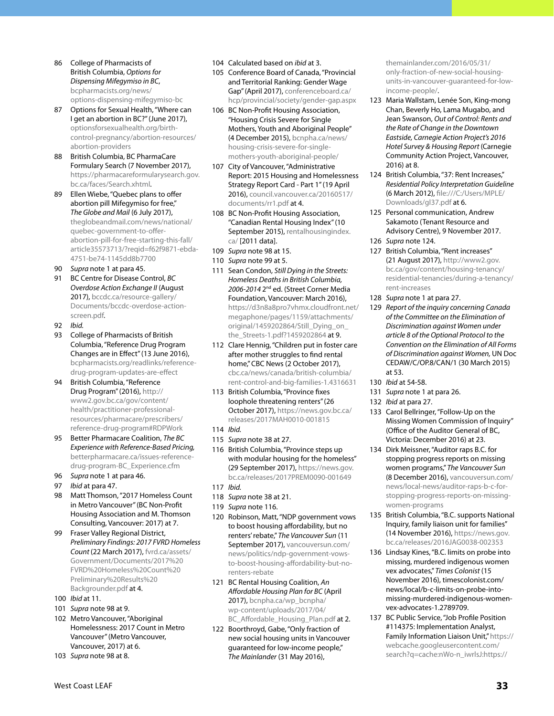- 86 College of Pharmacists of British Columbia, *Options for Dispensing Mifegymiso in BC*, [bcpharmacists.org/news/](http://www.bcpharmacists.org/news/options-dispensing-mifegymiso-bc) [options-dispensing-mifegymiso-bc](http://www.bcpharmacists.org/news/options-dispensing-mifegymiso-bc)
- 87 Options for Sexual Health, "Where can I get an abortion in BC?" (June 2017), [optionsforsexualhealth.org/birth](https://www.optionsforsexualhealth.org/birth-control-pregnancy/abortion-resources/abortion-providers)[control-pregnancy/abortion-resources/](https://www.optionsforsexualhealth.org/birth-control-pregnancy/abortion-resources/abortion-providers) [abortion-providers](https://www.optionsforsexualhealth.org/birth-control-pregnancy/abortion-resources/abortion-providers)
- 88 British Columbia, BC PharmaCare Formulary Search (7 November 2017), [https://pharmacareformularysearch.gov.](https://pharmacareformularysearch.gov.bc.ca/faces/Search.xhtml) [bc.ca/faces/Search.xhtml](https://pharmacareformularysearch.gov.bc.ca/faces/Search.xhtml).
- 89 Ellen Wiebe, "Quebec plans to offer abortion pill Mifegymiso for free," *The Globe and Mail* (6 July 2017), [theglobeandmail.com/news/national/](https://www.theglobeandmail.com/news/national/quebec-government-to-offer-abortion-pill-for-free-starting-this-fall/article35573713/?reqid=f62f9871-ebda-4751-be74-1145dd8b7700) [quebec-government-to-offer](https://www.theglobeandmail.com/news/national/quebec-government-to-offer-abortion-pill-for-free-starting-this-fall/article35573713/?reqid=f62f9871-ebda-4751-be74-1145dd8b7700)[abortion-pill-for-free-starting-this-fall/](https://www.theglobeandmail.com/news/national/quebec-government-to-offer-abortion-pill-for-free-starting-this-fall/article35573713/?reqid=f62f9871-ebda-4751-be74-1145dd8b7700) [article35573713/?reqid=f62f9871-ebda-](https://www.theglobeandmail.com/news/national/quebec-government-to-offer-abortion-pill-for-free-starting-this-fall/article35573713/?reqid=f62f9871-ebda-4751-be74-1145dd8b7700)[4751-be74-1145dd8b7700](https://www.theglobeandmail.com/news/national/quebec-government-to-offer-abortion-pill-for-free-starting-this-fall/article35573713/?reqid=f62f9871-ebda-4751-be74-1145dd8b7700)
- 90 *Supra* note 1 at para 45.
- 91 BC Centre for Disease Control, *BC Overdose Action Exchange II* (August 2017), [bccdc.ca/resource-gallery/](http://www.bccdc.ca/resource-gallery/Documents/bccdc-overdose-action-screen.pdf) [Documents/bccdc-overdose-action](http://www.bccdc.ca/resource-gallery/Documents/bccdc-overdose-action-screen.pdf)[screen.pdf.](http://www.bccdc.ca/resource-gallery/Documents/bccdc-overdose-action-screen.pdf)
- 92 *Ibid.*
- 93 College of Pharmacists of British Columbia, "Reference Drug Program Changes are in Effect" (13 June 2016), [bcpharmacists.org/readlinks/reference](http://www.bcpharmacists.org/readlinks/reference-drug-program-updates-are-effect)[drug-program-updates-are-effect](http://www.bcpharmacists.org/readlinks/reference-drug-program-updates-are-effect)
- 94 British Columbia, "Reference Drug Program" (2016), http:// www2.gov.bc.ca/gov/content/ health/practitioner-professionalresources/pharmacare/prescribers/ reference-drug-program#RDPWork
- 95 Better Pharmacare Coalition, *The BC Experience with Reference-Based Pricing,* [betterpharmacare.ca/issues-reference](http://www.betterpharmacare.ca/issues-reference-drug-program-BC_Experience.cfm)[drug-program-BC\\_Experience.cfm](http://www.betterpharmacare.ca/issues-reference-drug-program-BC_Experience.cfm)
- 96 *Supra* note 1 at para 46.
- 97 *Ibid* at para 47.
- 98 Matt Thomson, "2017 Homeless Count in Metro Vancouver" (BC Non-Profit Housing Association and M. Thomson Consulting, Vancouver: 2017) at 7.
- 99 Fraser Valley Regional District, *Preliminary Findings: 2017 FVRD Homeless Count* (22 March 2017), [fvrd.ca/assets/](http://www.fvrd.ca/assets/Government/Documents/2017%20FVRD%20Homeless%20Count%20Preliminary%20Results%20Backgrounder.pdf) [Government/Documents/2017%20](http://www.fvrd.ca/assets/Government/Documents/2017%20FVRD%20Homeless%20Count%20Preliminary%20Results%20Backgrounder.pdf) [FVRD%20Homeless%20Count%20](http://www.fvrd.ca/assets/Government/Documents/2017%20FVRD%20Homeless%20Count%20Preliminary%20Results%20Backgrounder.pdf) [Preliminary%20Results%20](http://www.fvrd.ca/assets/Government/Documents/2017%20FVRD%20Homeless%20Count%20Preliminary%20Results%20Backgrounder.pdf) [Backgrounder.pdf](http://www.fvrd.ca/assets/Government/Documents/2017%20FVRD%20Homeless%20Count%20Preliminary%20Results%20Backgrounder.pdf) at 4.
- 100 *Ibid* at 11.
- 101 *Supra* note 98 at 9.
- 102 Metro Vancouver, "Aboriginal Homelessness: 2017 Count in Metro Vancouver" (Metro Vancouver, Vancouver, 2017) at 6.
- 103 *Supra* note 98 at 8.
- 104 Calculated based on *ibid* at 3.
- 105 Conference Board of Canada, "Provincial and Territorial Ranking: Gender Wage Gap" (April 2017), [conferenceboard.ca/](https://www.conferenceboard.ca/hcp/provincial/society/gender-gap.aspx) [hcp/provincial/society/gender-gap.aspx](https://www.conferenceboard.ca/hcp/provincial/society/gender-gap.aspx)
- 106 BC Non-Profit Housing Association, "Housing Crisis Severe for Single Mothers, Youth and Aboriginal People" (4 December 2015), [bcnpha.ca/news/](http://bcnpha.ca/news/housing-crisis-severe-for-single-mothers-youth-aboriginal-people/) [housing-crisis-severe-for-single](http://bcnpha.ca/news/housing-crisis-severe-for-single-mothers-youth-aboriginal-people/)[mothers-youth-aboriginal-people/](http://bcnpha.ca/news/housing-crisis-severe-for-single-mothers-youth-aboriginal-people/)
- 107 City of Vancouver, "Administrative Report: 2015 Housing and Homelessness Strategy Report Card - Part 1" (19 April 2016), [council.vancouver.ca/20160517/](http://council.vancouver.ca/20160517/documents/rr1.pdf) [documents/rr1.pdf](http://council.vancouver.ca/20160517/documents/rr1.pdf) at 4.
- 108 BC Non-Profit Housing Association, "Canadian Rental Housing Index" (10 September 2015), [rentalhousingindex.](http://rentalhousingindex.ca/) [ca/](http://rentalhousingindex.ca/) [2011 data].
- 109 *Supra* note 98 at 15.
- 110 *Supra* note 99 at 5.
- 111 Sean Condon, *Still Dying in the Streets: Homeless Deaths in British Columbia, 2006-2014* 2nd ed. (Street Corner Media Foundation, Vancouver: March 2016), [https://d3n8a8pro7vhmx.cloudfront.net/](https://d3n8a8pro7vhmx.cloudfront.net/megaphone/pages/1159/attachments/original/1459202864/Still_Dying_on_the_Streets-1.pdf?1459202864) [megaphone/pages/1159/attachments/](https://d3n8a8pro7vhmx.cloudfront.net/megaphone/pages/1159/attachments/original/1459202864/Still_Dying_on_the_Streets-1.pdf?1459202864) [original/1459202864/Still\\_Dying\\_on\\_](https://d3n8a8pro7vhmx.cloudfront.net/megaphone/pages/1159/attachments/original/1459202864/Still_Dying_on_the_Streets-1.pdf?1459202864) [the\\_Streets-1.pdf?1459202864](https://d3n8a8pro7vhmx.cloudfront.net/megaphone/pages/1159/attachments/original/1459202864/Still_Dying_on_the_Streets-1.pdf?1459202864) at 9.
- 112 Clare Hennig, "Children put in foster care after mother struggles to find rental home," CBC News (2 October 2017), [cbc.ca/news/canada/british-columbia/](http://www.cbc.ca/news/canada/british-columbia/rent-control-and-big-families-1.4316631) [rent-control-and-big-families-1.4316631](http://www.cbc.ca/news/canada/british-columbia/rent-control-and-big-families-1.4316631)
- 113 British Columbia, "Province fixes loophole threatening renters" (26 October 2017), [https://news.gov.bc.ca/](https://news.gov.bc.ca/releases/2017MAH0010-001815) [releases/2017MAH0010-001815](https://news.gov.bc.ca/releases/2017MAH0010-001815)
- 114 *Ibid.*
- 115 *Supra* note 38 at 27.
- 116 British Columbia, "Province steps up with modular housing for the homeless" (29 September 2017), [https://news.gov.](https://news.gov.bc.ca/releases/2017PREM0090-001649) [bc.ca/releases/2017PREM0090-001649](https://news.gov.bc.ca/releases/2017PREM0090-001649)
- 117 *Ibid.*
- 118 *Supra* note 38 at 21.
- 119 *Supra* note 116.
- 120 Robinson, Matt, "NDP government vows to boost housing affordability, but no renters' rebate," *The Vancouver Sun* (11 September 2017), [vancouversun.com/](http://vancouversun.com/news/politics/ndp-government-vows-to-boost-housing-affordability-but-no-renters-rebate) [news/politics/ndp-government-vows](http://vancouversun.com/news/politics/ndp-government-vows-to-boost-housing-affordability-but-no-renters-rebate)[to-boost-housing-affordability-but-no](http://vancouversun.com/news/politics/ndp-government-vows-to-boost-housing-affordability-but-no-renters-rebate)[renters-rebate](http://vancouversun.com/news/politics/ndp-government-vows-to-boost-housing-affordability-but-no-renters-rebate)
- 121 BC Rental Housing Coalition, *An Affordable Housing Plan for BC* (April 2017), [bcnpha.ca/wp\\_bcnpha/](http://bcnpha.ca/wp_bcnpha/wp-content/uploads/2017/04/BC_Affordable_Housing_Plan.pdf) [wp-content/uploads/2017/04/](http://bcnpha.ca/wp_bcnpha/wp-content/uploads/2017/04/BC_Affordable_Housing_Plan.pdf) [BC\\_Affordable\\_Housing\\_Plan.pdf](http://bcnpha.ca/wp_bcnpha/wp-content/uploads/2017/04/BC_Affordable_Housing_Plan.pdf) at 2.
- 122 Boorthroyd, Gabe, "Only fraction of new social housing units in Vancouver guaranteed for low-income people," *The Mainlander* (31 May 2016),

[themainlander.com/2016/05/31/](http://themainlander.com/2016/05/31/only-fraction-of-new-social-housing-units-in-vancouver-guaranteed-for-low-income-people/) [only-fraction-of-new-social-housing](http://themainlander.com/2016/05/31/only-fraction-of-new-social-housing-units-in-vancouver-guaranteed-for-low-income-people/)[units-in-vancouver-guaranteed-for-low](http://themainlander.com/2016/05/31/only-fraction-of-new-social-housing-units-in-vancouver-guaranteed-for-low-income-people/)[income-people/.](http://themainlander.com/2016/05/31/only-fraction-of-new-social-housing-units-in-vancouver-guaranteed-for-low-income-people/)

- 123 Maria Wallstam, Lenée Son, King-mong Chan, Beverly Ho, Lama Mugabo, and Jean Swanson, *Out of Control: Rents and the Rate of Change in the Downtown Eastside, Carnegie Action Project's 2016 Hotel Survey & Housing Report* (Carnegie Community Action Project, Vancouver, 2016) at 8.
- 124 British Columbia, "37: Rent Increases," *Residential Policy Interpretation Guideline*  (6 March 2012), [file:///C:/Users/MPLE/](file:///C:/Users/MPLE/Downloads/gl37.pdf) [Downloads/gl37.pdf](file:///C:/Users/MPLE/Downloads/gl37.pdf) at 6.
- 125 Personal communication, Andrew Sakamoto (Tenant Resource and Advisory Centre), 9 November 2017. 126 *Supra* note 124.
- 
- 127 British Columbia, "Rent increases" (21 August 2017), [http://www2.gov.](http://www2.gov.bc.ca/gov/content/housing-tenancy/residential-tenancies/during-a-tenancy/rent-increases) [bc.ca/gov/content/housing-tenancy/](http://www2.gov.bc.ca/gov/content/housing-tenancy/residential-tenancies/during-a-tenancy/rent-increases) [residential-tenancies/during-a-tenancy/](http://www2.gov.bc.ca/gov/content/housing-tenancy/residential-tenancies/during-a-tenancy/rent-increases) [rent-increases](http://www2.gov.bc.ca/gov/content/housing-tenancy/residential-tenancies/during-a-tenancy/rent-increases)
- 128 *Supra* note 1 at para 27.
- 129 *Report of the inquiry concerning Canada of the Committee on the Elimination of Discrimination against Women under article 8 of the Optional Protocol to the Convention on the Elimination of All Forms of Discrimination against Women,* UN Doc CEDAW/C/OP.8/CAN/1 (30 March 2015) at 53.
- 130 *Ibid* at 54-58.
- 131 *Supra* note 1 at para 26.
- 132 *Ibid* at para 27.
- 133 Carol Bellringer, "Follow-Up on the Missing Women Commission of Inquiry" (Office of the Auditor General of BC, Victoria: December 2016) at 23.
- 134 Dirk Meissner, "Auditor raps B.C. for stopping progress reports on missing women programs," *The Vancouver Sun* (8 December 2016), [vancouversun.com/](http://vancouversun.com/news/local-news/auditor-raps-b-c-for-stopping-progress-reports-on-missing-women-programs) [news/local-news/auditor-raps-b-c-for](http://vancouversun.com/news/local-news/auditor-raps-b-c-for-stopping-progress-reports-on-missing-women-programs)[stopping-progress-reports-on-missing](http://vancouversun.com/news/local-news/auditor-raps-b-c-for-stopping-progress-reports-on-missing-women-programs)[women-programs](http://vancouversun.com/news/local-news/auditor-raps-b-c-for-stopping-progress-reports-on-missing-women-programs)
- 135 British Columbia, "B.C. supports National Inquiry, family liaison unit for families" (14 November 2016), [https://news.gov.](https://news.gov.bc.ca/releases/2016JAG0038-002353) [bc.ca/releases/2016JAG0038-002353](https://news.gov.bc.ca/releases/2016JAG0038-002353)
- 136 Lindsay Kines, "B.C. limits on probe into missing, murdered indigenous women vex advocates," *Times Colonist* (15 November 2016), timescolonist.com/ news/local/b-c-limits-on-probe-intomissing-murdered-indigenous-womenvex-advocates-1.2789709.
- 137 BC Public Service, "Job Profile Position #114375: Implementation Analyst, Family Information Liaison Unit," [https://](https://webcache.googleusercontent.com/search?q=cache:nWo-n_iwrlsJ:https://search.employment.gov.bc.ca/cgi-bin/attachment_display.cgi%3Ffilename%3D39554_58974_Implementation_Analyst__Job_Profile_.pdf+&cd=2&hl=en&ct=clnk&gl=ca) [webcache.googleusercontent.com/](https://webcache.googleusercontent.com/search?q=cache:nWo-n_iwrlsJ:https://search.employment.gov.bc.ca/cgi-bin/attachment_display.cgi%3Ffilename%3D39554_58974_Implementation_Analyst__Job_Profile_.pdf+&cd=2&hl=en&ct=clnk&gl=ca) [search?q=cache:nWo-n\\_iwrlsJ:https://](https://webcache.googleusercontent.com/search?q=cache:nWo-n_iwrlsJ:https://search.employment.gov.bc.ca/cgi-bin/attachment_display.cgi%3Ffilename%3D39554_58974_Implementation_Analyst__Job_Profile_.pdf+&cd=2&hl=en&ct=clnk&gl=ca)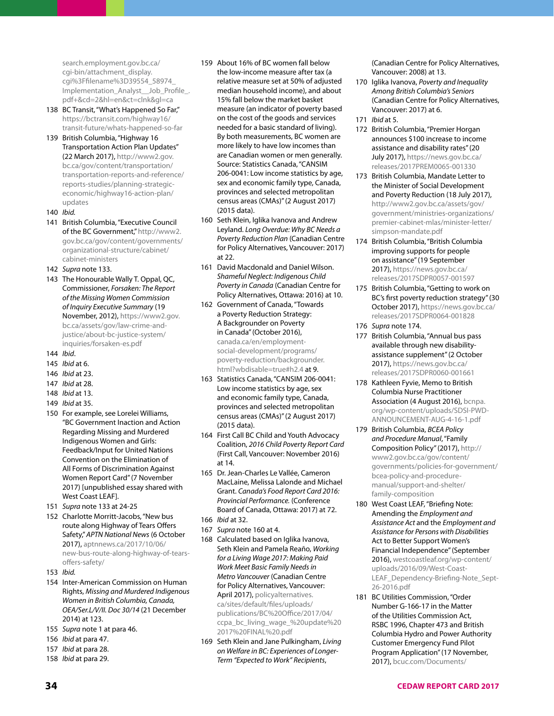[search.employment.gov.bc.ca/](https://webcache.googleusercontent.com/search?q=cache:nWo-n_iwrlsJ:https://search.employment.gov.bc.ca/cgi-bin/attachment_display.cgi%3Ffilename%3D39554_58974_Implementation_Analyst__Job_Profile_.pdf+&cd=2&hl=en&ct=clnk&gl=ca) [cgi-bin/attachment\\_display.](https://webcache.googleusercontent.com/search?q=cache:nWo-n_iwrlsJ:https://search.employment.gov.bc.ca/cgi-bin/attachment_display.cgi%3Ffilename%3D39554_58974_Implementation_Analyst__Job_Profile_.pdf+&cd=2&hl=en&ct=clnk&gl=ca) [cgi%3Ffilename%3D39554\\_58974\\_](https://webcache.googleusercontent.com/search?q=cache:nWo-n_iwrlsJ:https://search.employment.gov.bc.ca/cgi-bin/attachment_display.cgi%3Ffilename%3D39554_58974_Implementation_Analyst__Job_Profile_.pdf+&cd=2&hl=en&ct=clnk&gl=ca) [Implementation\\_Analyst\\_\\_Job\\_Profile\\_.](https://webcache.googleusercontent.com/search?q=cache:nWo-n_iwrlsJ:https://search.employment.gov.bc.ca/cgi-bin/attachment_display.cgi%3Ffilename%3D39554_58974_Implementation_Analyst__Job_Profile_.pdf+&cd=2&hl=en&ct=clnk&gl=ca) [pdf+&cd=2&hl=en&ct=clnk&gl=ca](https://webcache.googleusercontent.com/search?q=cache:nWo-n_iwrlsJ:https://search.employment.gov.bc.ca/cgi-bin/attachment_display.cgi%3Ffilename%3D39554_58974_Implementation_Analyst__Job_Profile_.pdf+&cd=2&hl=en&ct=clnk&gl=ca)

- 138 BC Transit, "What's Happened So Far," [https://bctransit.com/highway16/](https://bctransit.com/highway16/transit-future/whats-happened-so-far) [transit-future/whats-happened-so-far](https://bctransit.com/highway16/transit-future/whats-happened-so-far)
- 139 British Columbia, "Highway 16 Transportation Action Plan Updates" (22 March 2017), [http://www2.gov.](http://www2.gov.bc.ca/gov/content/transportation/transportation-reports-and-reference/reports-studies/planning-strategic-economic/highway16-action-plan/updates) [bc.ca/gov/content/transportation/](http://www2.gov.bc.ca/gov/content/transportation/transportation-reports-and-reference/reports-studies/planning-strategic-economic/highway16-action-plan/updates) [transportation-reports-and-reference/](http://www2.gov.bc.ca/gov/content/transportation/transportation-reports-and-reference/reports-studies/planning-strategic-economic/highway16-action-plan/updates) [reports-studies/planning-strategic](http://www2.gov.bc.ca/gov/content/transportation/transportation-reports-and-reference/reports-studies/planning-strategic-economic/highway16-action-plan/updates)[economic/highway16-action-plan/](http://www2.gov.bc.ca/gov/content/transportation/transportation-reports-and-reference/reports-studies/planning-strategic-economic/highway16-action-plan/updates) [updates](http://www2.gov.bc.ca/gov/content/transportation/transportation-reports-and-reference/reports-studies/planning-strategic-economic/highway16-action-plan/updates)
- 140 *Ibid.*
- 141 British Columbia, "Executive Council of the BC Government," [http://www2.](http://www2.gov.bc.ca/gov/content/governments/organizational-structure/cabinet/cabinet-ministers) [gov.bc.ca/gov/content/governments/](http://www2.gov.bc.ca/gov/content/governments/organizational-structure/cabinet/cabinet-ministers) [organizational-structure/cabinet/](http://www2.gov.bc.ca/gov/content/governments/organizational-structure/cabinet/cabinet-ministers) [cabinet-ministers](http://www2.gov.bc.ca/gov/content/governments/organizational-structure/cabinet/cabinet-ministers)
- 142 *Supra* note 133.
- 143 The Honourable Wally T. Oppal, QC, Commissioner, *Forsaken: The Report of the Missing Women Commission of Inquiry Executive Summary* (19 November, 2012), [https://www2.gov.](https://www2.gov.bc.ca/assets/gov/law-crime-and-justice/about-bc-justice-system/inquiries/forsaken-es.pdf) [bc.ca/assets/gov/law-crime-and](https://www2.gov.bc.ca/assets/gov/law-crime-and-justice/about-bc-justice-system/inquiries/forsaken-es.pdf)[justice/about-bc-justice-system/](https://www2.gov.bc.ca/assets/gov/law-crime-and-justice/about-bc-justice-system/inquiries/forsaken-es.pdf) [inquiries/forsaken-es.pdf](https://www2.gov.bc.ca/assets/gov/law-crime-and-justice/about-bc-justice-system/inquiries/forsaken-es.pdf)
- 144 *Ibid*.
- 145 *Ibid* at 6.
- 146 *Ibid* at 23.
- 147 *Ibid* at 28.
- 148 *Ibid* at 13.
- 149 *Ibid* at 35.
- 150 For example, see Lorelei Williams, "BC Government Inaction and Action Regarding Missing and Murdered Indigenous Women and Girls: Feedback/Input for United Nations Convention on the Elimination of All Forms of Discrimination Against Women Report Card" (7 November 2017) [unpublished essay shared with West Coast LEAF].
- 151 *Supra* note 133 at 24-25
- 152 Charlotte Morritt-Jacobs, "New bus route along Highway of Tears Offers Safety," *APTN National News* (6 October 2017), [aptnnews.ca/2017/10/06/](http://aptnnews.ca/2017/10/06/new-bus-route-along-highway-of-tears-offers-safety/) [new-bus-route-along-highway-of-tears](http://aptnnews.ca/2017/10/06/new-bus-route-along-highway-of-tears-offers-safety/)[offers-safety/](http://aptnnews.ca/2017/10/06/new-bus-route-along-highway-of-tears-offers-safety/)
- 153 *Ibid.*
- 154 Inter-American Commission on Human Rights, *Missing and Murdered Indigenous Women in British Columbia, Canada, OEA/Ser.L/V/II. Doc 30/14* (21 December 2014) at 123.
- 155 *Supra* note 1 at para 46.
- 156 *Ibid* at para 47.
- 157 *Ibid* at para 28.
- 158 *Ibid* at para 29.
- 159 About 16% of BC women fall below the low-income measure after tax (a relative measure set at 50% of adjusted median household income), and about 15% fall below the market basket measure (an indicator of poverty based on the cost of the goods and services needed for a basic standard of living). By both measurements, BC women are more likely to have low incomes than are Canadian women or men generally. Source: Statistics Canada, "CANSIM 206-0041: Low income statistics by age, sex and economic family type, Canada, provinces and selected metropolitan census areas (CMAs)" (2 August 2017) (2015 data).
- 160 Seth Klein, Iglika Ivanova and Andrew Leyland. *Long Overdue: Why BC Needs a Poverty Reduction Plan* (Canadian Centre for Policy Alternatives, Vancouver: 2017) at 22.
- 161 David Macdonald and Daniel Wilson. *Shameful Neglect: Indigenous Child Poverty in Canada* (Canadian Centre for Policy Alternatives, Ottawa: 2016) at 10.
- 162 Government of Canada, "Towards a Poverty Reduction Strategy: A Backgrounder on Poverty in Canada" (October 2016), canada.ca/en/employmentsocial-development/programs/ poverty-reduction/backgrounder. html?wbdisable=true#h2.4 at 9.
- 163 Statistics Canada, "CANSIM 206-0041: Low income statistics by age, sex and economic family type, Canada, provinces and selected metropolitan census areas (CMAs)" (2 August 2017) (2015 data).
- 164 First Call BC Child and Youth Advocacy Coalition, *2016 Child Poverty Report Card* (First Call, Vancouver: November 2016) at 14.
- 165 Dr. Jean-Charles Le Vallée, Cameron MacLaine, Melissa Lalonde and Michael Grant. *Canada's Food Report Card 2016: Provincial Performance.* (Conference Board of Canada, Ottawa: 2017) at 72.
- 166 *Ibid* at 32.
- 167 *Supra* note 160 at 4.
- 168 Calculated based on Iglika Ivanova, Seth Klein and Pamela Reaño, *Working for a Living Wage 2017: Making Paid Work Meet Basic Family Needs in Metro Vancouver* (Canadian Centre for Policy Alternatives, Vancouver: April 2017), [policyalternatives.](https://www.policyalternatives.ca/sites/default/files/uploads/publications/BC%20Office/2017/04/ccpa_bc_living_wage_%20update%202017%20FINAL%20.pdf) [ca/sites/default/files/uploads/](https://www.policyalternatives.ca/sites/default/files/uploads/publications/BC%20Office/2017/04/ccpa_bc_living_wage_%20update%202017%20FINAL%20.pdf) [publications/BC%20Office/2017/04/](https://www.policyalternatives.ca/sites/default/files/uploads/publications/BC%20Office/2017/04/ccpa_bc_living_wage_%20update%202017%20FINAL%20.pdf) [ccpa\\_bc\\_living\\_wage\\_%20update%20](https://www.policyalternatives.ca/sites/default/files/uploads/publications/BC%20Office/2017/04/ccpa_bc_living_wage_%20update%202017%20FINAL%20.pdf) [2017%20FINAL%20.pdf](https://www.policyalternatives.ca/sites/default/files/uploads/publications/BC%20Office/2017/04/ccpa_bc_living_wage_%20update%202017%20FINAL%20.pdf)
- 169 Seth Klein and Jane Pulkingham, *Living on Welfare in BC: Experiences of Longer-Term "Expected to Work" Recipients*,

(Canadian Centre for Policy Alternatives, Vancouver: 2008) at 13.

- 170 Iglika Ivanova, *Poverty and Inequality Among British Columbia's Seniors*  (Canadian Centre for Policy Alternatives, Vancouver: 2017) at 6. 171 *Ibid* at 5.
	-
- 172 British Columbia, "Premier Horgan announces \$100 increase to income assistance and disability rates" (20 July 2017), [https://news.gov.bc.ca/](https://news.gov.bc.ca/releases/2017PREM0065-001330) [releases/2017PREM0065-001330](https://news.gov.bc.ca/releases/2017PREM0065-001330)
- 173 British Columbia, Mandate Letter to the Minister of Social Development and Poverty Reduction (18 July 2017), [http://www2.gov.bc.ca/assets/gov/](http://www2.gov.bc.ca/assets/gov/government/ministries-organizations/premier-cabinet-mlas/minister-letter/simpson-mandate.pdf) [government/ministries-organizations/](http://www2.gov.bc.ca/assets/gov/government/ministries-organizations/premier-cabinet-mlas/minister-letter/simpson-mandate.pdf) [premier-cabinet-mlas/minister-letter/](http://www2.gov.bc.ca/assets/gov/government/ministries-organizations/premier-cabinet-mlas/minister-letter/simpson-mandate.pdf) [simpson-mandate.pdf](http://www2.gov.bc.ca/assets/gov/government/ministries-organizations/premier-cabinet-mlas/minister-letter/simpson-mandate.pdf)
- 174 British Columbia, "British Columbia improving supports for people on assistance" (19 September 2017), [https://news.gov.bc.ca/](https://news.gov.bc.ca/releases/2017SDPR0057-001597) [releases/2017SDPR0057-001597](https://news.gov.bc.ca/releases/2017SDPR0057-001597)
- 175 British Columbia, "Getting to work on BC's first poverty reduction strategy" (30 October 2017), [https://news.gov.bc.ca/](https://news.gov.bc.ca/releases/2017SDPR0064-001828) [releases/2017SDPR0064-001828](https://news.gov.bc.ca/releases/2017SDPR0064-001828)
- 176 *Supra* note 174.
- 177 British Columbia, "Annual bus pass available through new disabilityassistance supplement" (2 October 2017), [https://news.gov.bc.ca/](https://news.gov.bc.ca/releases/2017SDPR0060-001661) [releases/2017SDPR0060-001661](https://news.gov.bc.ca/releases/2017SDPR0060-001661)
- 178 Kathleen Fyvie, Memo to British Columbia Nurse Practitioner Association (4 August 2016), [bcnpa.](http://bcnpa.org/wp-content/uploads/SDSI-PWD-ANNOUNCEMENT-AUG-4-16-1.pdf) [org/wp-content/uploads/SDSI-PWD-](http://bcnpa.org/wp-content/uploads/SDSI-PWD-ANNOUNCEMENT-AUG-4-16-1.pdf)[ANNOUNCEMENT-AUG-4-16-1.pdf](http://bcnpa.org/wp-content/uploads/SDSI-PWD-ANNOUNCEMENT-AUG-4-16-1.pdf)
- 179 British Columbia, *BCEA Policy and Procedure Manual*, "Family Composition Policy" (2017), [http://](http://www2.gov.bc.ca/gov/content/governments/policies-for-government/bcea-policy-and-procedure-manual/support-and-shelter/family-composition) [www2.gov.bc.ca/gov/content/](http://www2.gov.bc.ca/gov/content/governments/policies-for-government/bcea-policy-and-procedure-manual/support-and-shelter/family-composition) [governments/policies-for-government/](http://www2.gov.bc.ca/gov/content/governments/policies-for-government/bcea-policy-and-procedure-manual/support-and-shelter/family-composition) [bcea-policy-and-procedure](http://www2.gov.bc.ca/gov/content/governments/policies-for-government/bcea-policy-and-procedure-manual/support-and-shelter/family-composition)[manual/support-and-shelter/](http://www2.gov.bc.ca/gov/content/governments/policies-for-government/bcea-policy-and-procedure-manual/support-and-shelter/family-composition) [family-composition](http://www2.gov.bc.ca/gov/content/governments/policies-for-government/bcea-policy-and-procedure-manual/support-and-shelter/family-composition)
- 180 West Coast LEAF, "Briefing Note: Amending the *Employment and Assistance Act* and the *Employment and Assistance for Persons with Disabilities*  Act to Better Support Women's Financial Independence" (September 2016), [westcoastleaf.org/wp-content/](http://www.westcoastleaf.org/wp-content/uploads/2016/09/West-Coast-LEAF_Dependency-Briefing-Note_Sept-26-2016.pdf) [uploads/2016/09/West-Coast-](http://www.westcoastleaf.org/wp-content/uploads/2016/09/West-Coast-LEAF_Dependency-Briefing-Note_Sept-26-2016.pdf)[LEAF\\_Dependency-Briefing-Note\\_Sept-](http://www.westcoastleaf.org/wp-content/uploads/2016/09/West-Coast-LEAF_Dependency-Briefing-Note_Sept-26-2016.pdf)[26-2016.pdf](http://www.westcoastleaf.org/wp-content/uploads/2016/09/West-Coast-LEAF_Dependency-Briefing-Note_Sept-26-2016.pdf)
- 181 BC Utilities Commission, "Order Number G-166-17 in the Matter of the Utilities Commission Act, RSBC 1996, Chapter 473 and British Columbia Hydro and Power Authority Customer Emergency Fund Pilot Program Application" (17 November, 2017), [bcuc.com/Documents/](http://www.bcuc.com/Documents/Proceedings/2017/DOC_50323_11-17-2017_Order-G-166-17_Reasons-for-Decision.pdf)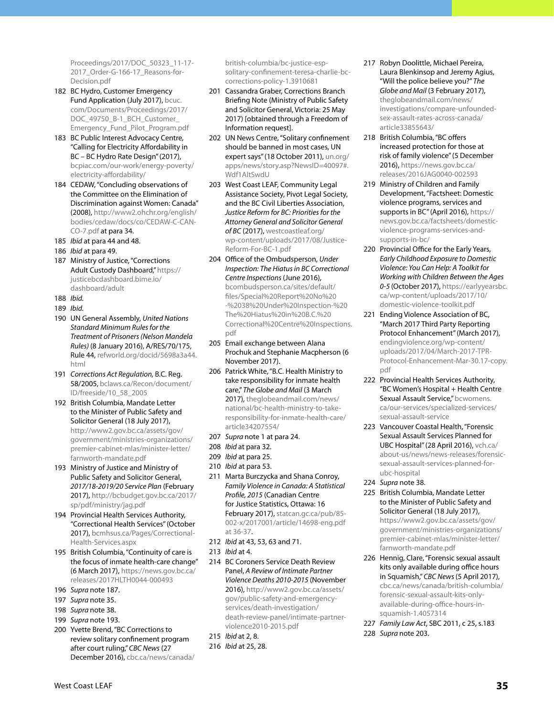[Proceedings/2017/DOC\\_50323\\_11-17-](http://www.bcuc.com/Documents/Proceedings/2017/DOC_50323_11-17-2017_Order-G-166-17_Reasons-for-Decision.pdf) [2017\\_Order-G-166-17\\_Reasons-for-](http://www.bcuc.com/Documents/Proceedings/2017/DOC_50323_11-17-2017_Order-G-166-17_Reasons-for-Decision.pdf)[Decision.pdf](http://www.bcuc.com/Documents/Proceedings/2017/DOC_50323_11-17-2017_Order-G-166-17_Reasons-for-Decision.pdf)

- 182 BC Hydro, Customer Emergency Fund Application (July 2017), [bcuc.](http://www.bcuc.com/Documents/Proceedings/2017/DOC_49750_B-1_BCH_Customer_Emergency_Fund_Pilot_Program.pdf) [com/Documents/Proceedings/2017/](http://www.bcuc.com/Documents/Proceedings/2017/DOC_49750_B-1_BCH_Customer_Emergency_Fund_Pilot_Program.pdf) [DOC\\_49750\\_B-1\\_BCH\\_Customer\\_](http://www.bcuc.com/Documents/Proceedings/2017/DOC_49750_B-1_BCH_Customer_Emergency_Fund_Pilot_Program.pdf) [Emergency\\_Fund\\_Pilot\\_Program.pdf](http://www.bcuc.com/Documents/Proceedings/2017/DOC_49750_B-1_BCH_Customer_Emergency_Fund_Pilot_Program.pdf)
- 183 BC Public Interest Advocacy Centre, "Calling for Electricity Affordability in BC – BC Hydro Rate Design" (2017), [bcpiac.com/our-work/energy-poverty/](http://bcpiac.com/our-work/energy-poverty/electricity-affordability/) [electricity-affordability/](http://bcpiac.com/our-work/energy-poverty/electricity-affordability/)
- 184 CEDAW, "Concluding observations of the Committee on the Elimination of Discrimination against Women: Canada" (2008), [http://www2.ohchr.org/english/](http://www2.ohchr.org/english/bodies/cedaw/docs/co/CEDAW-C-CAN-CO-7.pdf) [bodies/cedaw/docs/co/CEDAW-C-CAN-](http://www2.ohchr.org/english/bodies/cedaw/docs/co/CEDAW-C-CAN-CO-7.pdf)[CO-7.pdf](http://www2.ohchr.org/english/bodies/cedaw/docs/co/CEDAW-C-CAN-CO-7.pdf) at para 34.
- 185 *Ibid* at para 44 and 48.
- 186 *Ibid* at para 49.
- 187 Ministry of Justice, "Corrections Adult Custody Dashboard," [https://](https://justicebcdashboard.bime.io/dashboard/adult) [justicebcdashboard.bime.io/](https://justicebcdashboard.bime.io/dashboard/adult) [dashboard/adult](https://justicebcdashboard.bime.io/dashboard/adult)
- 188 *Ibid.*
- 189 *Ibid.*
- 190 UN General Assembly, *United Nations Standard Minimum Rules for the Treatment of Prisoners (Nelson Mandela Rules)* (8 January 2016), A/RES/70/175, Rule 44, [refworld.org/docid/5698a3a44.](http://www.refworld.org/docid/5698a3a44.html) [html](http://www.refworld.org/docid/5698a3a44.html)
- 191 *Corrections Act Regulation,* B.C. Reg. 58/2005, [bclaws.ca/Recon/document/](http://www.bclaws.ca/Recon/document/ID/freeside/10_58_2005) [ID/freeside/10\\_58\\_2005](http://www.bclaws.ca/Recon/document/ID/freeside/10_58_2005)
- 192 British Columbia, Mandate Letter to the Minister of Public Safety and Solicitor General (18 July 2017), [http://www2.gov.bc.ca/assets/gov/](http://www2.gov.bc.ca/assets/gov/government/ministries-organizations/premier-cabinet-mlas/minister-letter/farnworth-mandate.pdf) [government/ministries-organizations/](http://www2.gov.bc.ca/assets/gov/government/ministries-organizations/premier-cabinet-mlas/minister-letter/farnworth-mandate.pdf) [premier-cabinet-mlas/minister-letter/](http://www2.gov.bc.ca/assets/gov/government/ministries-organizations/premier-cabinet-mlas/minister-letter/farnworth-mandate.pdf) [farnworth-mandate.pdf](http://www2.gov.bc.ca/assets/gov/government/ministries-organizations/premier-cabinet-mlas/minister-letter/farnworth-mandate.pdf)
- 193 Ministry of Justice and Ministry of Public Safety and Solicitor General, *2017/18-2019/20 Service Plan* (February 2017), [http://bcbudget.gov.bc.ca/2017/](http://bcbudget.gov.bc.ca/2017/sp/pdf/ministry/jag.pdf) [sp/pdf/ministry/jag.pdf](http://bcbudget.gov.bc.ca/2017/sp/pdf/ministry/jag.pdf)
- 194 Provincial Health Services Authority, "Correctional Health Services" (October 2017), [bcmhsus.ca/Pages/Correctional-](http://www.bcmhsus.ca/Pages/Correctional-Health-Services.aspx)[Health-Services.aspx](http://www.bcmhsus.ca/Pages/Correctional-Health-Services.aspx)
- 195 British Columbia, "Continuity of care is the focus of inmate health-care change" (6 March 2017), [https://news.gov.bc.ca/](https://news.gov.bc.ca/releases/2017HLTH0044-000493) [releases/2017HLTH0044-000493](https://news.gov.bc.ca/releases/2017HLTH0044-000493)
- 196 *Supra* note 187.
- 197 *Supra* note 35.
- 198 *Supra* note 38.
- 199 *Supra* note 193.
- 200 Yvette Brend, "BC Corrections to review solitary confinement program after court ruling," *CBC News* (27 December 2016), [cbc.ca/news/canada/](http://www.cbc.ca/news/canada/british-columbia/bc-justice-esp-solitary-confinement-teresa-charlie-bc-corrections-policy-1.3910681)

[british-columbia/bc-justice-esp](http://www.cbc.ca/news/canada/british-columbia/bc-justice-esp-solitary-confinement-teresa-charlie-bc-corrections-policy-1.3910681)[solitary-confinement-teresa-charlie-bc](http://www.cbc.ca/news/canada/british-columbia/bc-justice-esp-solitary-confinement-teresa-charlie-bc-corrections-policy-1.3910681)[corrections-policy-1.3910681](http://www.cbc.ca/news/canada/british-columbia/bc-justice-esp-solitary-confinement-teresa-charlie-bc-corrections-policy-1.3910681)

- 201 Cassandra Graber, Corrections Branch Briefing Note (Ministry of Public Safety and Solicitor General, Victoria: 25 May 2017) [obtained through a Freedom of Information request].
- 202 UN News Centre, "Solitary confinement should be banned in most cases, UN expert says" (18 October 2011), un.org/ apps/news/story.asp?NewsID=40097#. Wdf1AltSwdU
- 203 West Coast LEAF, Community Legal Assistance Society, Pivot Legal Society, and the BC Civil Liberties Association, *Justice Reform for BC: Priorities for the Attorney General and Solicitor General of BC* (2017), [westcoastleaf.org/](http://www.westcoastleaf.org/wp-content/uploads/2017/08/Justice-Reform-For-BC-1.pdf) [wp-content/uploads/2017/08/Justice-](http://www.westcoastleaf.org/wp-content/uploads/2017/08/Justice-Reform-For-BC-1.pdf)[Reform-For-BC-1.pdf](http://www.westcoastleaf.org/wp-content/uploads/2017/08/Justice-Reform-For-BC-1.pdf)
- 204 Office of the Ombudsperson, *Under Inspection: The Hiatus in BC Correctional Centre Inspections* (June 2016), [bcombudsperson.ca/sites/default/](https://www.bcombudsperson.ca/sites/default/files/Special%20Report%20No%20-%2038%20Under%20Inspection-%20The%20Hiatus%20in%20B.C.%20Correctional%20Centre%20Inspections.pdf) [files/Special%20Report%20No%20](https://www.bcombudsperson.ca/sites/default/files/Special%20Report%20No%20-%2038%20Under%20Inspection-%20The%20Hiatus%20in%20B.C.%20Correctional%20Centre%20Inspections.pdf) [-%2038%20Under%20Inspection-%20](https://www.bcombudsperson.ca/sites/default/files/Special%20Report%20No%20-%2038%20Under%20Inspection-%20The%20Hiatus%20in%20B.C.%20Correctional%20Centre%20Inspections.pdf) [The%20Hiatus%20in%20B.C.%20](https://www.bcombudsperson.ca/sites/default/files/Special%20Report%20No%20-%2038%20Under%20Inspection-%20The%20Hiatus%20in%20B.C.%20Correctional%20Centre%20Inspections.pdf) [Correctional%20Centre%20Inspections.](https://www.bcombudsperson.ca/sites/default/files/Special%20Report%20No%20-%2038%20Under%20Inspection-%20The%20Hiatus%20in%20B.C.%20Correctional%20Centre%20Inspections.pdf) [pdf](https://www.bcombudsperson.ca/sites/default/files/Special%20Report%20No%20-%2038%20Under%20Inspection-%20The%20Hiatus%20in%20B.C.%20Correctional%20Centre%20Inspections.pdf)
- 205 Email exchange between Alana Prochuk and Stephanie Macpherson (6 November 2017).
- 206 Patrick White, "B.C. Health Ministry to take responsibility for inmate health care," *The Globe and Mail* (3 March 2017), [theglobeandmail.com/news/](https://www.theglobeandmail.com/news/national/bc-health-ministry-to-take-responsibility-for-inmate-health-care/article34207554/) [national/bc-health-ministry-to-take](https://www.theglobeandmail.com/news/national/bc-health-ministry-to-take-responsibility-for-inmate-health-care/article34207554/)[responsibility-for-inmate-health-care/](https://www.theglobeandmail.com/news/national/bc-health-ministry-to-take-responsibility-for-inmate-health-care/article34207554/) [article34207554/](https://www.theglobeandmail.com/news/national/bc-health-ministry-to-take-responsibility-for-inmate-health-care/article34207554/)
- 207 *Supra* note 1 at para 24.
- 208 *Ibid* at para 32.
- 209 *Ibid* at para 25.
- 210 *Ibid* at para 53.
- 211 Marta Burczycka and Shana Conroy, *Family Violence in Canada: A Statistical Profile, 2015* (Canadian Centre for Justice Statistics, Ottawa: 16 February 2017), [statcan.gc.ca/pub/85-](http://statcan.gc.ca/pub/85-002-x/2017001/article/14698-eng.pdf) [002-x/2017001/article/14698-eng.pdf](http://statcan.gc.ca/pub/85-002-x/2017001/article/14698-eng.pdf)  [at 36-37.](http://statcan.gc.ca/pub/85-002-x/2017001/article/14698-eng.pdf)
- 212 *Ibid* at 43, 53, 63 and 71.
- 213 *Ibid* at 4.
- 214 BC Coroners Service Death Review Panel, *A Review of Intimate Partner Violence Deaths 2010-2015* (November 2016), [http://www2.gov.bc.ca/assets/](http://www2.gov.bc.ca/assets/gov/public-safety-and-emergency-services/death-investigation/death-review-panel/intimate-partner-violence2010-2015.pdf) [gov/public-safety-and-emergency](http://www2.gov.bc.ca/assets/gov/public-safety-and-emergency-services/death-investigation/death-review-panel/intimate-partner-violence2010-2015.pdf)[services/death-investigation/](http://www2.gov.bc.ca/assets/gov/public-safety-and-emergency-services/death-investigation/death-review-panel/intimate-partner-violence2010-2015.pdf) [death-review-panel/intimate-partner](http://www2.gov.bc.ca/assets/gov/public-safety-and-emergency-services/death-investigation/death-review-panel/intimate-partner-violence2010-2015.pdf)[violence2010-2015.pdf](http://www2.gov.bc.ca/assets/gov/public-safety-and-emergency-services/death-investigation/death-review-panel/intimate-partner-violence2010-2015.pdf)
- 215 *Ibid* at 2, 8.
- 216 *Ibid* at 25, 28.
- 217 Robyn Doolittle, Michael Pereira, Laura Blenkinsop and Jeremy Agius, "Will the police believe you?" *The Globe and Mail* (3 February 2017), [theglobeandmail.com/news/](https://www.theglobeandmail.com/news/investigations/compare-unfounded-sex-assault-rates-across-canada/article33855643/) [investigations/compare-unfounded](https://www.theglobeandmail.com/news/investigations/compare-unfounded-sex-assault-rates-across-canada/article33855643/)[sex-assault-rates-across-canada/](https://www.theglobeandmail.com/news/investigations/compare-unfounded-sex-assault-rates-across-canada/article33855643/) [article33855643/](https://www.theglobeandmail.com/news/investigations/compare-unfounded-sex-assault-rates-across-canada/article33855643/)
- 218 British Columbia, "BC offers increased protection for those at risk of family violence" (5 December 2016), [https://news.gov.bc.ca/](https://news.gov.bc.ca/releases/2016JAG0040-002593) [releases/2016JAG0040-002593](https://news.gov.bc.ca/releases/2016JAG0040-002593)
- 219 Ministry of Children and Family Development, "Factsheet: Domestic violence programs, services and supports in BC" (April 2016), [https://](https://news.gov.bc.ca/factsheets/domestic-violence-programs-services-and-supports-in-bc/) [news.gov.bc.ca/factsheets/domestic](https://news.gov.bc.ca/factsheets/domestic-violence-programs-services-and-supports-in-bc/)[violence-programs-services-and](https://news.gov.bc.ca/factsheets/domestic-violence-programs-services-and-supports-in-bc/)[supports-in-bc/](https://news.gov.bc.ca/factsheets/domestic-violence-programs-services-and-supports-in-bc/)
- 220 Provincial Office for the Early Years, *Early Childhood Exposure to Domestic Violence: You Can Help: A Toolkit for Working with Children Between the Ages 0-5* (October 2017), [https://earlyyearsbc.](https://earlyyearsbc.ca/wp-content/uploads/2017/10/domestic-violence-toolkit.pdf) [ca/wp-content/uploads/2017/10/](https://earlyyearsbc.ca/wp-content/uploads/2017/10/domestic-violence-toolkit.pdf) [domestic-violence-toolkit.pdf](https://earlyyearsbc.ca/wp-content/uploads/2017/10/domestic-violence-toolkit.pdf)
- 221 Ending Violence Association of BC, "March 2017 Third Party Reporting Protocol Enhancement" (March 2017), [endingviolence.org/wp-content/](http://endingviolence.org/wp-content/uploads/2017/04/March-2017-TPR-Protocol-Enhancement-Mar-30.17-copy.pdf) [uploads/2017/04/March-2017-TPR-](http://endingviolence.org/wp-content/uploads/2017/04/March-2017-TPR-Protocol-Enhancement-Mar-30.17-copy.pdf)[Protocol-Enhancement-Mar-30.17-copy.](http://endingviolence.org/wp-content/uploads/2017/04/March-2017-TPR-Protocol-Enhancement-Mar-30.17-copy.pdf) [pdf](http://endingviolence.org/wp-content/uploads/2017/04/March-2017-TPR-Protocol-Enhancement-Mar-30.17-copy.pdf)
- 222 Provincial Health Services Authority, "BC Women's Hospital + Health Centre Sexual Assault Service," [bcwomens.](http://www.bcwomens.ca/our-services/specialized-services/sexual-assault-service) [ca/our-services/specialized-services/](http://www.bcwomens.ca/our-services/specialized-services/sexual-assault-service) [sexual-assault-service](http://www.bcwomens.ca/our-services/specialized-services/sexual-assault-service)
- 223 Vancouver Coastal Health, "Forensic Sexual Assault Services Planned for UBC Hospital" (28 April 2016), [vch.ca/](http://www.vch.ca/about-us/news/news-releases/forensic-sexual-assault-services-planned-for-ubc-hospital) [about-us/news/news-releases/forensic](http://www.vch.ca/about-us/news/news-releases/forensic-sexual-assault-services-planned-for-ubc-hospital)[sexual-assault-services-planned-for](http://www.vch.ca/about-us/news/news-releases/forensic-sexual-assault-services-planned-for-ubc-hospital)[ubc-hospital](http://www.vch.ca/about-us/news/news-releases/forensic-sexual-assault-services-planned-for-ubc-hospital)
- 224 *Supra* note 38.
- 225 British Columbia, Mandate Letter to the Minister of Public Safety and Solicitor General (18 July 2017), [https://www2.gov.bc.ca/assets/gov/](https://www2.gov.bc.ca/assets/gov/government/ministries-organizations/premier-cabinet-mlas/minister-letter/farnworth-mandate.pdf) [government/ministries-organizations/](https://www2.gov.bc.ca/assets/gov/government/ministries-organizations/premier-cabinet-mlas/minister-letter/farnworth-mandate.pdf) [premier-cabinet-mlas/minister-letter/](https://www2.gov.bc.ca/assets/gov/government/ministries-organizations/premier-cabinet-mlas/minister-letter/farnworth-mandate.pdf) [farnworth-mandate.pdf](https://www2.gov.bc.ca/assets/gov/government/ministries-organizations/premier-cabinet-mlas/minister-letter/farnworth-mandate.pdf)
- 226 Hennig, Clare, "Forensic sexual assault kits only available during office hours in Squamish," *CBC News* (5 April 2017), [cbc.ca/news/canada/british-columbia/](http://www.cbc.ca/news/canada/british-columbia/forensic-sexual-assault-kits-only-available-during-office-hours-in-squamish-1.4057314) [forensic-sexual-assault-kits-only](http://www.cbc.ca/news/canada/british-columbia/forensic-sexual-assault-kits-only-available-during-office-hours-in-squamish-1.4057314)[available-during-office-hours-in](http://www.cbc.ca/news/canada/british-columbia/forensic-sexual-assault-kits-only-available-during-office-hours-in-squamish-1.4057314)[squamish-1.4057314](http://www.cbc.ca/news/canada/british-columbia/forensic-sexual-assault-kits-only-available-during-office-hours-in-squamish-1.4057314)
- 227 *Family Law Act*, SBC 2011, c 25, s.183 228 *Supra* note 203.